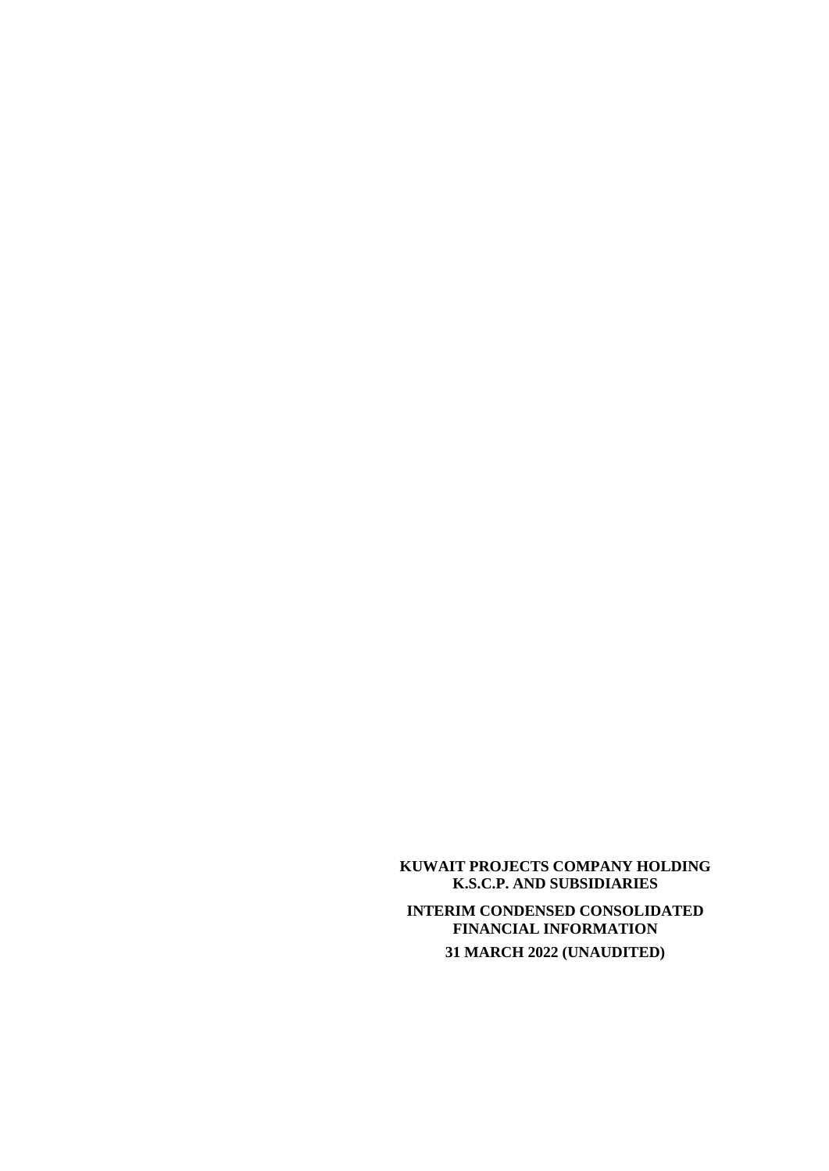**KUWAIT PROJECTS COMPANY HOLDING K.S.C.P. AND SUBSIDIARIES INTERIM CONDENSED CONSOLIDATED FINANCIAL INFORMATION 31 MARCH 2022 (UNAUDITED)**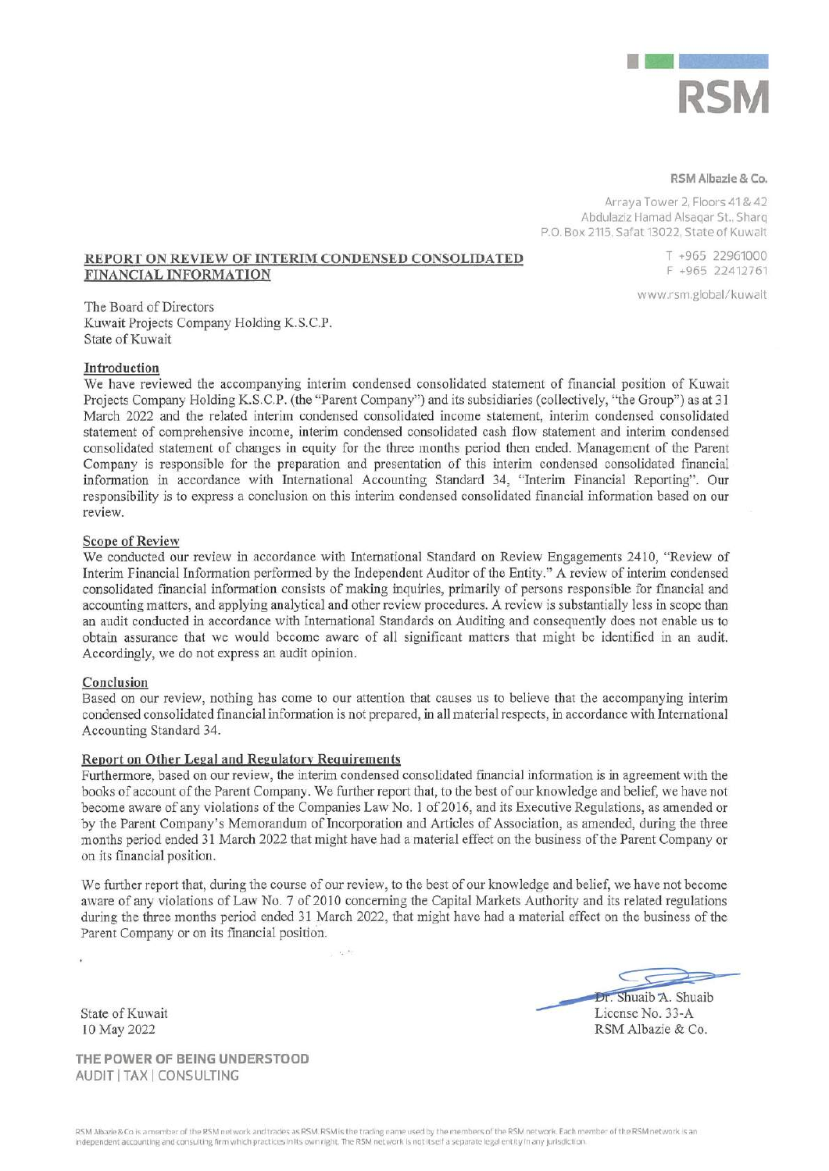

#### RSM Albazie & Co.

Arraya Tower 2, Floors 41& 42 Abdulaziz Hamad Alsagar St., Sharg P.O. Box 2115, Safat 13022, State of Kuwait

#### REPORT ON REVIEW OF INTERIM CONDENSED CONSOLIDATED FINANCIAL INFORMATION

www.rsm.global/kuwait

T +965 22961000

F +965 22412761

The Board of Directors Kuwait Projects Company Holding K.S.C.P. State of Kuwait

#### Introduction

We have reviewed the accompanying interim condensed consolidated statement of financial position of Kuwait Projects Company Holding K.S.C.P. (the "Parent Company") and its subsidiaries (collectively, "the Group") as at 31 March 2022 and the related interim condensed consolidated income statement, interim condensed consolidated statement of comprehensive income, interim condensed consolidated cash flow statement and interim condensed consolidated statement of changes in equity for the three months period then ended. Management of the Parent Company is responsible for the preparation and presentation of this interim condensed consolidated financial information in accordance with International Accounting Standard 34, "Interim Financial Reporting". Our responsibility is to express a conclusion on this interim condensed consolidated financial information based on our review.

# **Scope of Review**

We conducted our review in accordance with International Standard on Review Engagements 2410, "Review of Interim Financial Information performed by the Independent Auditor of the Entity." A review of interim condensed consolidated financial information consists of making inquiries, primarily of persons responsible for financial and accounting matters, and applying analytical and other review procedures. A review is substantially less in scope than an audit conducted in accordance with International Standards on Auditing and consequently does not enable us to obtain assurance that we would become aware of all significant matters that might be identified in an audit. Accordingly, we do not express an audit opinion.

#### Conclusion

Based on our review, nothing has come to our attention that causes us to believe that the accompanying interim condensed consolidated financial information is not prepared, in all material respects, in accordance with International Accounting Standard 34.

#### **Report on Other Legal and Regulatory Requirements**

Furthermore, based on our review, the interim condensed consolidated financial information is in agreement with the books of account of the Parent Company. We further report that, to the best of our knowledge and belief, we have not become aware of any violations of the Companies Law No. 1 of 2016, and its Executive Regulations, as amended or by the Parent Company's Memorandum of Incorporation and Articles of Association, as amended, during the three months period ended 31 March 2022 that might have had a material effect on the business of the Parent Company or on its financial position.

We further report that, during the course of our review, to the best of our knowledge and belief, we have not become aware of any violations of Law No. 7 of 2010 concerning the Capital Markets Authority and its related regulations during the three months period ended 31 March 2022, that might have had a material effect on the business of the Parent Company or on its financial position.

State of Kuwait 10 May 2022

THE POWER OF BEING UNDERSTOOD AUDIT | TAX | CONSULTING

Dr. Shuaib A. Shuaib License No. 33-A RSM Albazie & Co.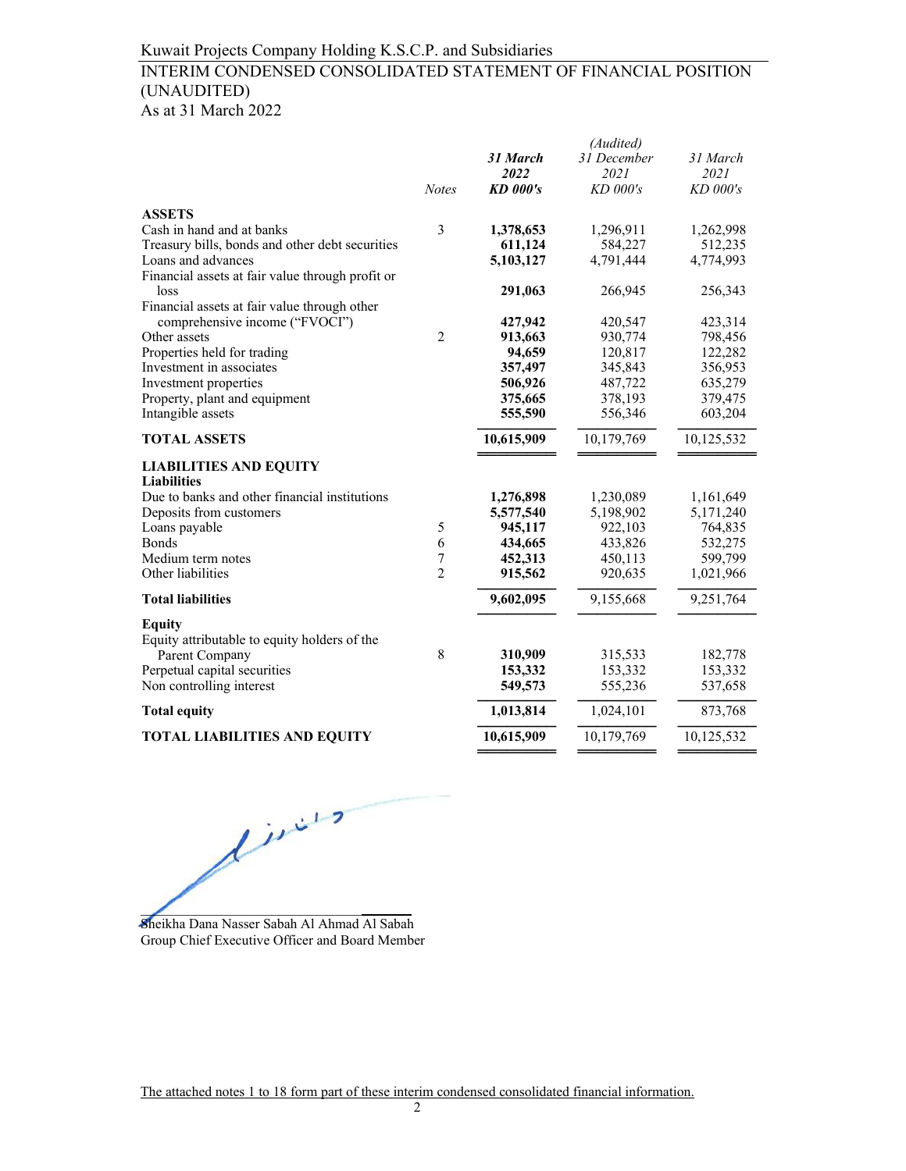# INTERIM CONDENSED CONSOLIDATED STATEMENT OF FINANCIAL POSITION (UNAUDITED)

|  |  |  | As at 31 March 2022 |  |
|--|--|--|---------------------|--|
|--|--|--|---------------------|--|

|                                                  |                |                 | (Audited)   |            |
|--------------------------------------------------|----------------|-----------------|-------------|------------|
|                                                  |                | 31 March        | 31 December | 31 March   |
|                                                  |                | 2022            | 2021        | 2021       |
|                                                  | <b>Notes</b>   | <b>KD</b> 000's | $KD$ 000's  | $KD$ 000's |
| <b>ASSETS</b>                                    |                |                 |             |            |
| Cash in hand and at banks                        | 3              | 1,378,653       | 1,296,911   | 1,262,998  |
| Treasury bills, bonds and other debt securities  |                | 611,124         | 584,227     | 512,235    |
| Loans and advances                               |                | 5,103,127       | 4,791,444   | 4,774,993  |
| Financial assets at fair value through profit or |                |                 |             |            |
| loss                                             |                | 291,063         | 266,945     | 256,343    |
| Financial assets at fair value through other     |                |                 |             |            |
| comprehensive income ("FVOCI")                   |                | 427,942         | 420,547     | 423,314    |
| Other assets                                     | $\overline{2}$ | 913,663         | 930,774     | 798,456    |
| Properties held for trading                      |                | 94,659          | 120,817     | 122,282    |
| Investment in associates                         |                | 357,497         | 345,843     | 356,953    |
| Investment properties                            |                | 506,926         | 487,722     | 635,279    |
| Property, plant and equipment                    |                | 375,665         | 378,193     | 379,475    |
| Intangible assets                                |                | 555,590         | 556,346     | 603,204    |
| <b>TOTAL ASSETS</b>                              |                | 10,615,909      | 10,179,769  | 10,125,532 |
| <b>LIABILITIES AND EQUITY</b>                    |                |                 |             |            |
| <b>Liabilities</b>                               |                |                 |             |            |
| Due to banks and other financial institutions    |                | 1,276,898       | 1,230,089   | 1,161,649  |
| Deposits from customers                          |                | 5,577,540       | 5,198,902   | 5,171,240  |
| Loans payable                                    | 5              | 945,117         | 922,103     | 764,835    |
| <b>Bonds</b>                                     | 6              | 434,665         | 433,826     | 532,275    |
| Medium term notes                                | 7              | 452,313         | 450,113     | 599,799    |
| Other liabilities                                | $\overline{2}$ | 915,562         | 920,635     | 1,021,966  |
| <b>Total liabilities</b>                         |                | 9,602,095       | 9,155,668   | 9,251,764  |
| <b>Equity</b>                                    |                |                 |             |            |
| Equity attributable to equity holders of the     |                |                 |             |            |
| Parent Company                                   | 8              | 310,909         | 315,533     | 182,778    |
| Perpetual capital securities                     |                | 153,332         | 153,332     | 153,332    |
| Non controlling interest                         |                | 549,573         | 555,236     | 537,658    |
| <b>Total equity</b>                              |                | 1,013,814       | 1,024,101   | 873,768    |
| <b>TOTAL LIABILITIES AND EQUITY</b>              |                | 10,615,909      | 10,179,769  | 10,125,532 |
|                                                  |                |                 |             |            |

finis  $\overline{a}$   $\overline{a}$   $\overline{a}$   $\overline{a}$   $\overline{a}$   $\overline{a}$   $\overline{a}$   $\overline{a}$   $\overline{a}$   $\overline{a}$   $\overline{a}$   $\overline{a}$   $\overline{a}$   $\overline{a}$   $\overline{a}$   $\overline{a}$   $\overline{a}$   $\overline{a}$   $\overline{a}$   $\overline{a}$   $\overline{a}$   $\overline{a}$   $\overline{a}$   $\overline{a}$   $\overline{$ 

Sheikha Dana Nasser Sabah Al Ahmad Al Sabah Group Chief Executive Officer and Board Member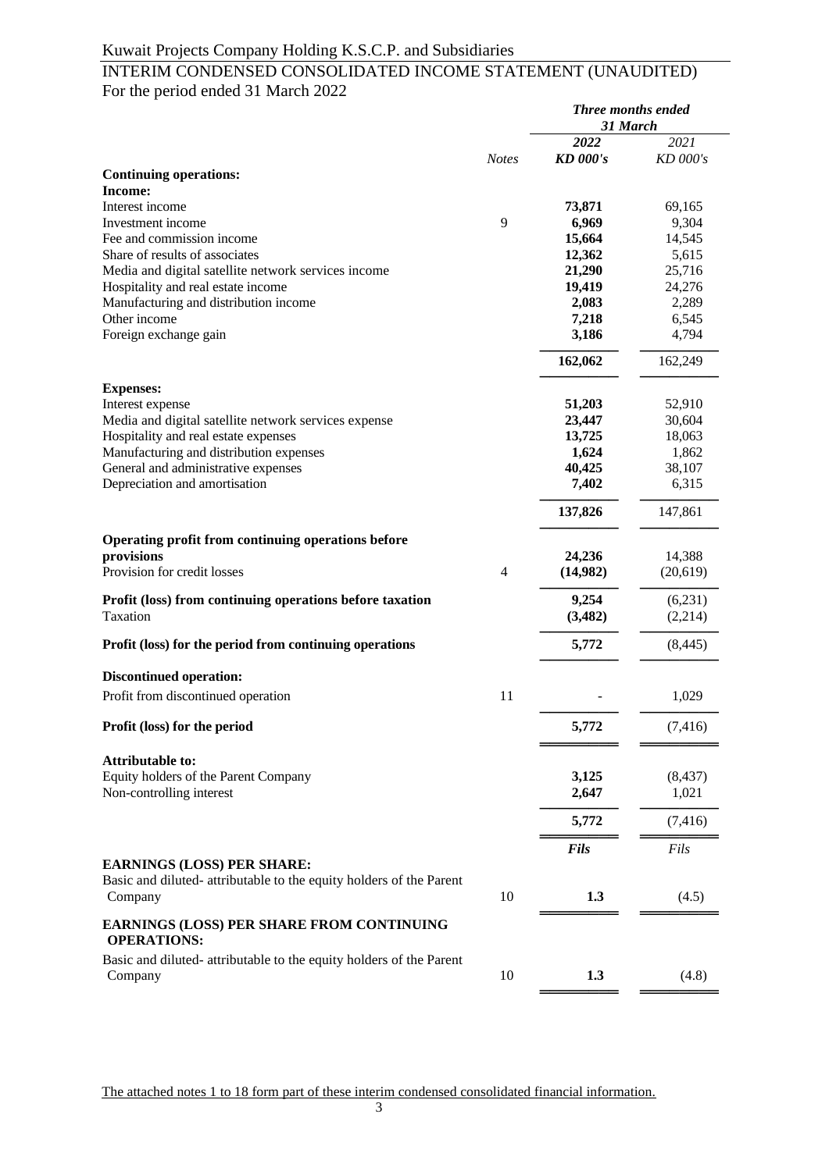## INTERIM CONDENSED CONSOLIDATED INCOME STATEMENT (UNAUDITED) For the period ended 31 March 2022 *Three months ended*

|                                                                                |              | Three months ended<br>31 March |           |
|--------------------------------------------------------------------------------|--------------|--------------------------------|-----------|
|                                                                                |              | 2022                           | 2021      |
| <b>Continuing operations:</b>                                                  | <b>Notes</b> | <b>KD</b> 000's                | KD 000's  |
| Income:                                                                        |              |                                |           |
| Interest income                                                                |              | 73,871                         | 69,165    |
| Investment income                                                              | 9            | 6,969                          | 9,304     |
| Fee and commission income                                                      |              | 15,664                         | 14,545    |
| Share of results of associates                                                 |              | 12,362                         | 5,615     |
| Media and digital satellite network services income                            |              | 21,290                         | 25,716    |
| Hospitality and real estate income                                             |              | 19,419                         | 24,276    |
| Manufacturing and distribution income                                          |              | 2,083                          | 2,289     |
| Other income                                                                   |              | 7,218                          | 6,545     |
| Foreign exchange gain                                                          |              | 3,186                          | 4,794     |
|                                                                                |              | 162,062                        | 162,249   |
| <b>Expenses:</b>                                                               |              |                                |           |
| Interest expense                                                               |              | 51,203                         | 52,910    |
| Media and digital satellite network services expense                           |              | 23,447                         | 30,604    |
| Hospitality and real estate expenses                                           |              | 13,725                         | 18,063    |
| Manufacturing and distribution expenses                                        |              | 1,624                          | 1,862     |
| General and administrative expenses                                            |              | 40,425                         | 38,107    |
| Depreciation and amortisation                                                  |              | 7,402                          | 6,315     |
|                                                                                |              | 137,826                        | 147,861   |
| Operating profit from continuing operations before                             |              |                                |           |
| provisions                                                                     |              | 24,236                         | 14,388    |
| Provision for credit losses                                                    | 4            | (14,982)                       | (20, 619) |
| Profit (loss) from continuing operations before taxation                       |              | 9,254                          | (6,231)   |
| Taxation                                                                       |              | (3,482)                        | (2,214)   |
| Profit (loss) for the period from continuing operations                        |              | 5,772                          | (8, 445)  |
| <b>Discontinued operation:</b>                                                 |              |                                |           |
| Profit from discontinued operation                                             | 11           |                                | 1,029     |
| Profit (loss) for the period                                                   |              | 5,772                          | (7, 416)  |
| <b>Attributable to:</b>                                                        |              |                                |           |
| Equity holders of the Parent Company                                           |              | 3,125                          | (8, 437)  |
| Non-controlling interest                                                       |              | 2,647                          | 1,021     |
|                                                                                |              | 5,772                          | (7, 416)  |
|                                                                                |              | Fils                           | Fils      |
| <b>EARNINGS (LOSS) PER SHARE:</b>                                              |              |                                |           |
| Basic and diluted-attributable to the equity holders of the Parent<br>Company  | 10           | 1.3                            | (4.5)     |
| <b>EARNINGS (LOSS) PER SHARE FROM CONTINUING</b><br><b>OPERATIONS:</b>         |              |                                |           |
| Basic and diluted- attributable to the equity holders of the Parent<br>Company | 10           | 1.3                            | (4.8)     |
|                                                                                |              |                                |           |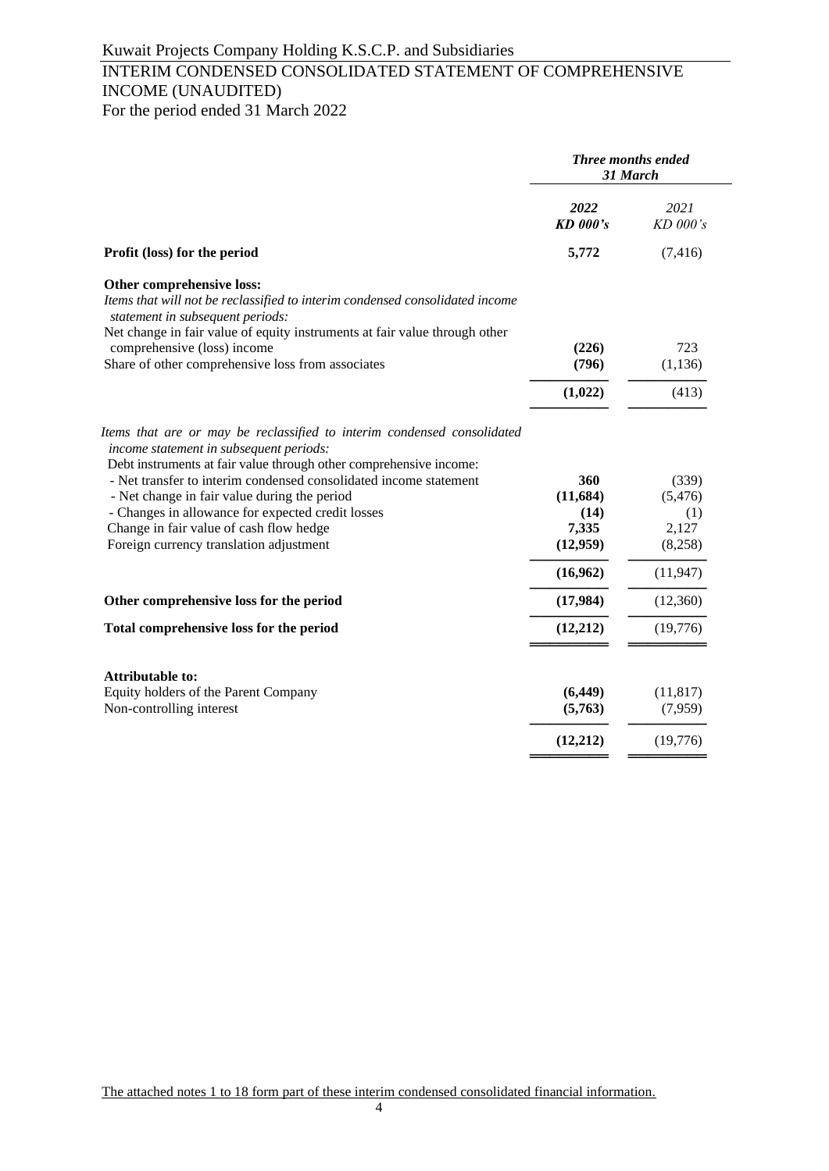# INTERIM CONDENSED CONSOLIDATED STATEMENT OF COMPREHENSIVE INCOME (UNAUDITED) For the period ended 31 March 2022

|                                                                                                                                                                                                                             |                         | Three months ended<br>31 March |
|-----------------------------------------------------------------------------------------------------------------------------------------------------------------------------------------------------------------------------|-------------------------|--------------------------------|
|                                                                                                                                                                                                                             | 2022<br><b>KD</b> 000's | 2021<br>KD 000's               |
| Profit (loss) for the period                                                                                                                                                                                                | 5,772                   | (7, 416)                       |
| Other comprehensive loss:<br>Items that will not be reclassified to interim condensed consolidated income<br>statement in subsequent periods:<br>Net change in fair value of equity instruments at fair value through other |                         |                                |
| comprehensive (loss) income<br>Share of other comprehensive loss from associates                                                                                                                                            | (226)<br>(796)          | 723<br>(1, 136)                |
|                                                                                                                                                                                                                             |                         |                                |
|                                                                                                                                                                                                                             | (1,022)                 | (413)                          |
| Items that are or may be reclassified to interim condensed consolidated<br>income statement in subsequent periods:<br>Debt instruments at fair value through other comprehensive income:                                    |                         |                                |
| - Net transfer to interim condensed consolidated income statement                                                                                                                                                           | 360                     | (339)                          |
| - Net change in fair value during the period                                                                                                                                                                                | (11, 684)               | (5, 476)                       |
| - Changes in allowance for expected credit losses                                                                                                                                                                           | (14)<br>7,335           | (1)<br>2,127                   |
| Change in fair value of cash flow hedge<br>Foreign currency translation adjustment                                                                                                                                          | (12,959)                | (8,258)                        |
|                                                                                                                                                                                                                             | (16,962)                | (11, 947)                      |
| Other comprehensive loss for the period                                                                                                                                                                                     | (17,984)                | (12,360)                       |
| Total comprehensive loss for the period                                                                                                                                                                                     | (12,212)                | (19,776)                       |
|                                                                                                                                                                                                                             |                         |                                |
| <b>Attributable to:</b>                                                                                                                                                                                                     |                         |                                |
| Equity holders of the Parent Company<br>Non-controlling interest                                                                                                                                                            | (6, 449)<br>(5,763)     | (11, 817)<br>(7,959)           |
|                                                                                                                                                                                                                             | (12,212)                | (19,776)                       |
|                                                                                                                                                                                                                             |                         |                                |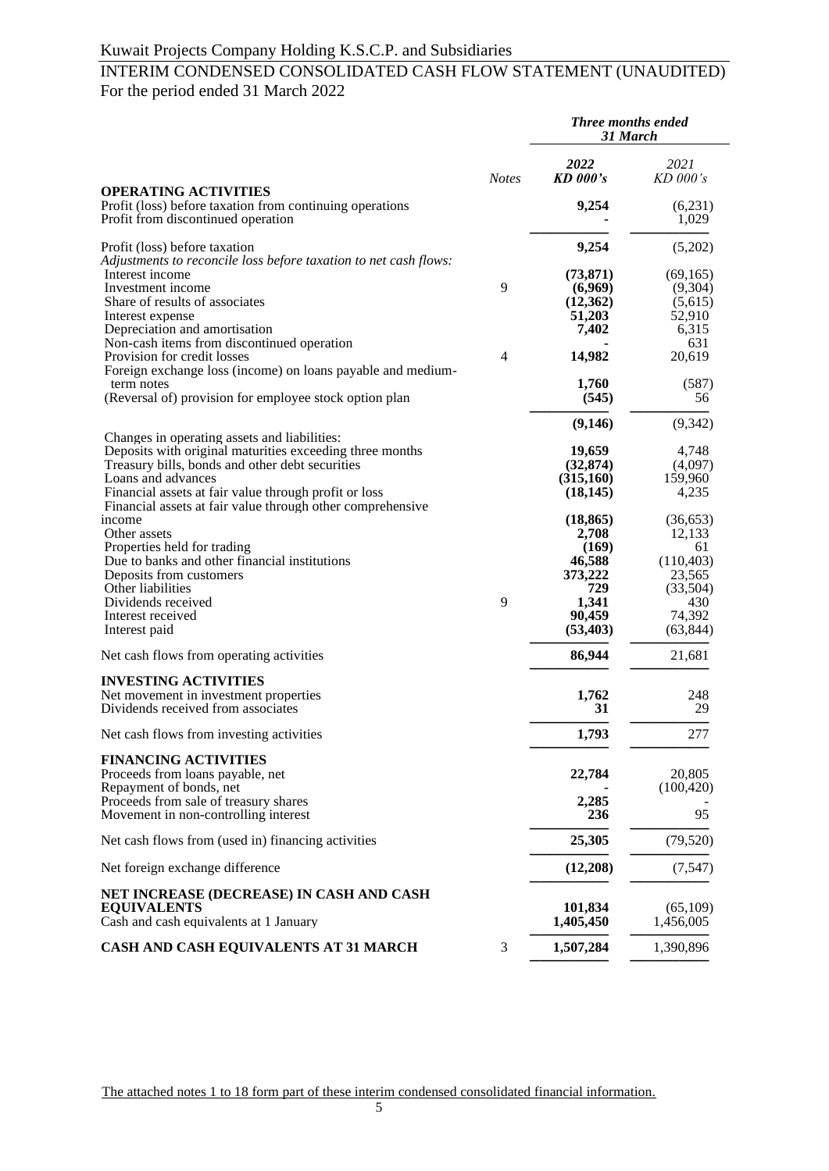# INTERIM CONDENSED CONSOLIDATED CASH FLOW STATEMENT (UNAUDITED) For the period ended 31 March 2022

|                                                                                                                               |                | <b>Three months ended</b><br>31 March |                     |
|-------------------------------------------------------------------------------------------------------------------------------|----------------|---------------------------------------|---------------------|
|                                                                                                                               | <b>Notes</b>   | 2022<br><b>KD</b> 000's               | 2021<br>$KD$ 000's  |
| <b>OPERATING ACTIVITIES</b><br>Profit (loss) before taxation from continuing operations<br>Profit from discontinued operation |                | 9,254                                 | (6,231)<br>1,029    |
| Profit (loss) before taxation<br>Adjustments to reconcile loss before taxation to net cash flows:                             |                | 9,254                                 | (5,202)             |
| Interest income                                                                                                               |                | (73, 871)                             | (69, 165)           |
| Investment income                                                                                                             | 9              | (6,969)                               | (9,304)             |
| Share of results of associates                                                                                                |                | (12,362)                              | (5,615)             |
| Interest expense                                                                                                              |                | 51,203                                | 52,910              |
| Depreciation and amortisation                                                                                                 |                | 7,402                                 | 6,315               |
| Non-cash items from discontinued operation<br>Provision for credit losses                                                     | $\overline{4}$ | 14,982                                | 631<br>20,619       |
| Foreign exchange loss (income) on loans payable and medium-                                                                   |                |                                       |                     |
| term notes                                                                                                                    |                | 1,760                                 | (587)               |
| (Reversal of) provision for employee stock option plan                                                                        |                | (545)                                 | 56                  |
|                                                                                                                               |                |                                       |                     |
| Changes in operating assets and liabilities:                                                                                  |                | (9,146)                               | (9, 342)            |
| Deposits with original maturities exceeding three months                                                                      |                | 19,659                                | 4,748               |
| Treasury bills, bonds and other debt securities                                                                               |                | (32, 874)                             | (4,097)             |
| Loans and advances                                                                                                            |                | (315,160)                             | 159,960             |
| Financial assets at fair value through profit or loss                                                                         |                | (18, 145)                             | 4,235               |
| Financial assets at fair value through other comprehensive<br>income                                                          |                |                                       |                     |
| Other assets                                                                                                                  |                | (18, 865)<br>2,708                    | (36, 653)<br>12,133 |
| Properties held for trading                                                                                                   |                | (169)                                 | 61                  |
| Due to banks and other financial institutions                                                                                 |                | 46,588                                | (110, 403)          |
| Deposits from customers                                                                                                       |                | 373,222                               | 23,565              |
| Other liabilities                                                                                                             |                | 729                                   | (33,504)            |
| Dividends received                                                                                                            | 9              | 1,341                                 | 430                 |
| Interest received                                                                                                             |                | 90,459                                | 74,392              |
| Interest paid                                                                                                                 |                | (53, 403)                             | (63, 844)           |
| Net cash flows from operating activities                                                                                      |                | 86,944                                | 21,681              |
| <b>INVESTING ACTIVITIES</b>                                                                                                   |                |                                       |                     |
| Net movement in investment properties                                                                                         |                | 1,762                                 | 248                 |
| Dividends received from associates                                                                                            |                | 31                                    | 29                  |
| Net cash flows from investing activities                                                                                      |                | 1,793                                 | 277                 |
| <b>FINANCING ACTIVITIES</b>                                                                                                   |                |                                       |                     |
| Proceeds from loans payable, net                                                                                              |                | 22,784                                | 20,805              |
| Repayment of bonds, net                                                                                                       |                |                                       | (100, 420)          |
| Proceeds from sale of treasury shares                                                                                         |                | 2,285                                 |                     |
| Movement in non-controlling interest                                                                                          |                | 236                                   | 95                  |
| Net cash flows from (used in) financing activities                                                                            |                | 25,305                                | (79, 520)           |
| Net foreign exchange difference                                                                                               |                | (12,208)                              | (7, 547)            |
| NET INCREASE (DECREASE) IN CASH AND CASH                                                                                      |                |                                       |                     |
| <b>EQUIVALENTS</b>                                                                                                            |                | 101,834                               | (65,109)            |
| Cash and cash equivalents at 1 January                                                                                        |                | 1,405,450                             | 1,456,005           |
| CASH AND CASH EQUIVALENTS AT 31 MARCH                                                                                         | 3              | 1,507,284                             | 1,390,896           |
|                                                                                                                               |                |                                       |                     |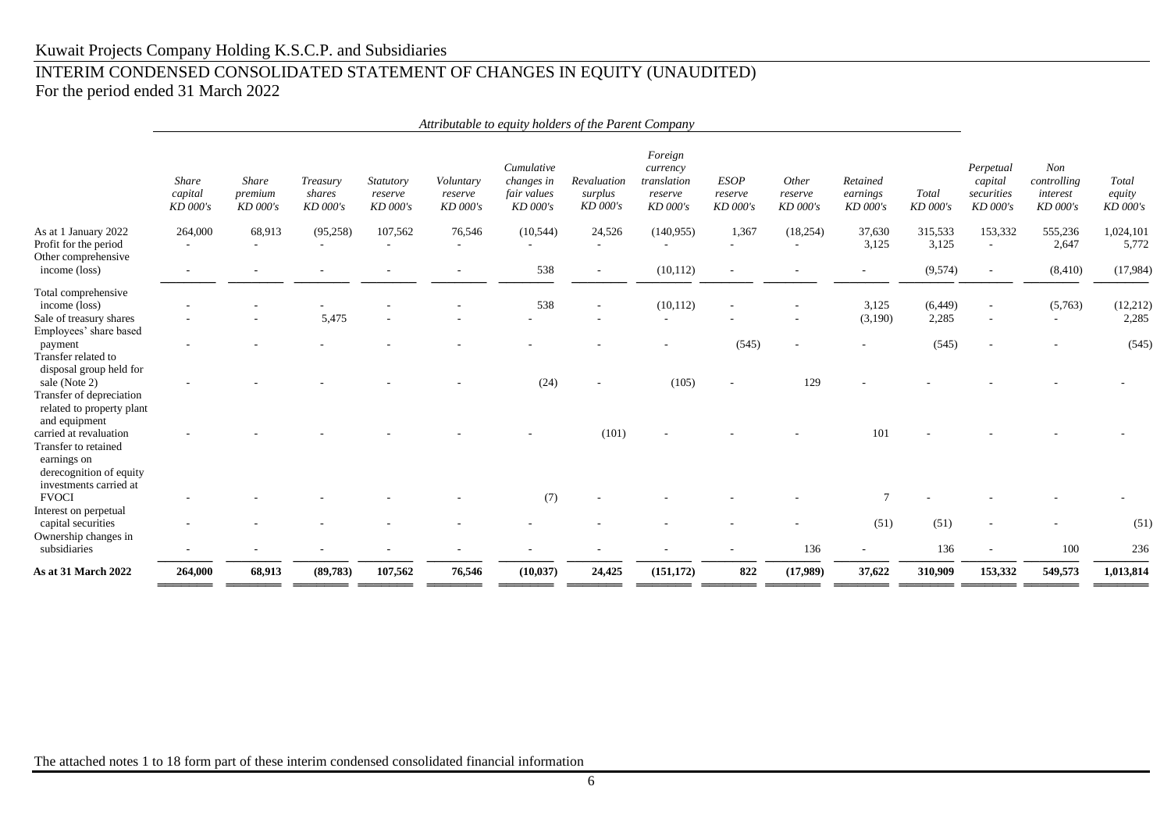# INTERIM CONDENSED CONSOLIDATED STATEMENT OF CHANGES IN EQUITY (UNAUDITED) For the period ended 31 March 2022

|                                                                                                                    | Attributable to equity holders of the Parent Company |                                     |                                |                                  |                                  |                                                     |                                    |                                                           |                                    |                              |                                  |                   |                                                |                                            |                             |
|--------------------------------------------------------------------------------------------------------------------|------------------------------------------------------|-------------------------------------|--------------------------------|----------------------------------|----------------------------------|-----------------------------------------------------|------------------------------------|-----------------------------------------------------------|------------------------------------|------------------------------|----------------------------------|-------------------|------------------------------------------------|--------------------------------------------|-----------------------------|
|                                                                                                                    | <b>Share</b><br>capital<br>KD 000's                  | <b>Share</b><br>premium<br>KD 000's | Treasury<br>shares<br>KD 000's | Statutory<br>reserve<br>KD 000's | Voluntary<br>reserve<br>KD 000's | Cumulative<br>changes in<br>fair values<br>KD 000's | Revaluation<br>surplus<br>KD 000's | Foreign<br>currency<br>translation<br>reserve<br>KD 000's | <b>ESOP</b><br>reserve<br>KD 000's | Other<br>reserve<br>KD 000's | Retained<br>earnings<br>KD 000's | Total<br>KD 000's | Perpetual<br>capital<br>securities<br>KD 000's | Non<br>controlling<br>interest<br>KD 000's | Total<br>equity<br>KD 000's |
| As at 1 January 2022<br>Profit for the period<br>Other comprehensive                                               | 264,000<br>$\overline{\phantom{a}}$                  | 68,913                              | (95,258)<br>٠                  | 107,562<br>٠                     | 76,546<br>$\sim$                 | (10, 544)<br>$\sim$                                 | 24,526<br>$\sim$                   | (140,955)<br>$\overline{\phantom{a}}$                     | 1,367                              | (18, 254)<br>$\sim$          | 37,630<br>3,125                  | 315,533<br>3,125  | 153,332<br>$\sim$                              | 555,236<br>2,647                           | 1,024,101<br>5,772          |
| income (loss)                                                                                                      |                                                      |                                     |                                |                                  |                                  | 538                                                 | $\overline{a}$                     | (10, 112)                                                 |                                    |                              | $\sim$                           | (9,574)           | $\overline{\phantom{m}}$                       | (8, 410)                                   | (17,984)                    |
| Total comprehensive<br>income (loss)<br>Sale of treasury shares<br>Employees' share based                          |                                                      |                                     | 5,475                          |                                  |                                  | 538                                                 |                                    | (10, 112)                                                 |                                    |                              | 3,125<br>(3,190)                 | (6, 449)<br>2,285 |                                                | (5,763)                                    | (12, 212)<br>2,285          |
| payment<br>Transfer related to<br>disposal group held for                                                          |                                                      |                                     |                                |                                  |                                  |                                                     |                                    |                                                           | (545)                              |                              |                                  | (545)             |                                                |                                            | (545)                       |
| sale (Note 2)<br>Transfer of depreciation<br>related to property plant<br>and equipment                            |                                                      |                                     |                                |                                  |                                  | (24)                                                |                                    | (105)                                                     |                                    | 129                          |                                  |                   |                                                |                                            |                             |
| carried at revaluation<br>Transfer to retained<br>earnings on<br>derecognition of equity<br>investments carried at |                                                      |                                     |                                |                                  |                                  |                                                     | (101)                              |                                                           |                                    |                              | 101                              |                   |                                                |                                            |                             |
| <b>FVOCI</b>                                                                                                       |                                                      |                                     |                                |                                  |                                  | (7)                                                 |                                    |                                                           |                                    |                              | 7                                |                   |                                                |                                            |                             |
| Interest on perpetual<br>capital securities<br>Ownership changes in                                                |                                                      |                                     |                                |                                  |                                  |                                                     |                                    |                                                           |                                    |                              | (51)                             | (51)              |                                                |                                            | (51)                        |
| subsidiaries                                                                                                       |                                                      |                                     |                                |                                  |                                  |                                                     |                                    |                                                           |                                    | 136                          |                                  | 136               | $\overline{\phantom{a}}$                       | 100                                        | 236                         |
| As at 31 March 2022                                                                                                | 264,000                                              | 68,913                              | (89,783)                       | 107,562                          | 76,546                           | (10, 037)                                           | 24,425                             | (151, 172)                                                | 822                                | (17,989)                     | 37,622                           | 310,909           | 153,332                                        | 549,573                                    | 1,013,814                   |
|                                                                                                                    |                                                      |                                     |                                |                                  |                                  |                                                     |                                    |                                                           |                                    |                              |                                  |                   |                                                |                                            |                             |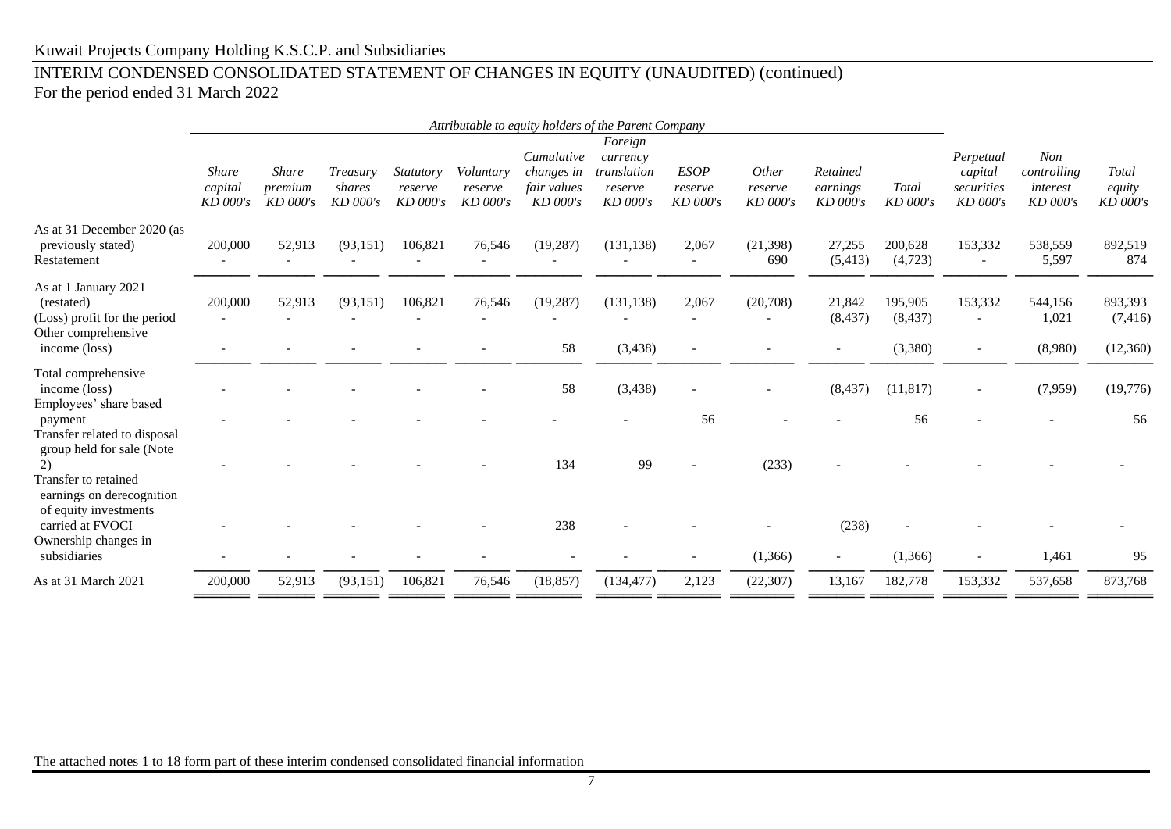# INTERIM CONDENSED CONSOLIDATED STATEMENT OF CHANGES IN EQUITY (UNAUDITED) (continued)

For the period ended 31 March 2022

|                                                                                                                                        |                                       |                                       |                                  |                                    |                                  |                                                       | Attributable to equity holders of the Parent Company      |                                    |                                     |                                    |                                |                                                |                                                   |                                  |
|----------------------------------------------------------------------------------------------------------------------------------------|---------------------------------------|---------------------------------------|----------------------------------|------------------------------------|----------------------------------|-------------------------------------------------------|-----------------------------------------------------------|------------------------------------|-------------------------------------|------------------------------------|--------------------------------|------------------------------------------------|---------------------------------------------------|----------------------------------|
|                                                                                                                                        | <b>Share</b><br>capital<br>$KD$ 000's | <b>Share</b><br>premium<br>$KD$ 000's | Treasury<br>shares<br>$KD$ 000's | Statutory<br>reserve<br>$KD$ 000's | Voluntary<br>reserve<br>KD 000's | Cumulative<br>changes in<br>fair values<br>$KD$ 000's | Foreign<br>currency<br>translation<br>reserve<br>KD 000's | <b>ESOP</b><br>reserve<br>KD 000's | <i>Other</i><br>reserve<br>KD 000's | Retained<br>earnings<br>$KD$ 000's | Total<br>KD 000's              | Perpetual<br>capital<br>securities<br>KD 000's | <b>Non</b><br>controlling<br>interest<br>KD 000's | Total<br>equity<br>KD 000's      |
| As at 31 December 2020 (as<br>previously stated)<br>Restatement                                                                        | 200,000                               | 52,913                                | (93, 151)                        | 106,821                            | 76,546                           | (19, 287)                                             | (131, 138)                                                | 2,067                              | (21, 398)<br>690                    | 27,255<br>(5, 413)                 | 200,628<br>(4,723)             | 153,332<br>$\overline{\phantom{a}}$            | 538,559<br>5,597                                  | 892,519<br>874                   |
| As at 1 January 2021<br>(restated)<br>(Loss) profit for the period<br>Other comprehensive<br>income (loss)                             | 200,000                               | 52,913                                | (93, 151)                        | 106,821                            | 76,546                           | (19, 287)<br>58                                       | (131, 138)<br>(3, 438)                                    | 2,067                              | (20,708)                            | 21,842<br>(8, 437)                 | 195,905<br>(8, 437)<br>(3,380) | 153,332                                        | 544,156<br>1,021<br>(8,980)                       | 893,393<br>(7, 416)<br>(12, 360) |
| Total comprehensive<br>income (loss)<br>Employees' share based                                                                         |                                       |                                       |                                  |                                    |                                  | 58                                                    | (3, 438)                                                  |                                    |                                     | (8, 437)                           | (11, 817)                      |                                                | (7,959)                                           | (19, 776)                        |
| payment<br>Transfer related to disposal<br>group held for sale (Note<br>2)<br><b>Transfer to retained</b><br>earnings on derecognition |                                       |                                       |                                  |                                    |                                  | 134                                                   | 99                                                        | 56                                 | (233)                               |                                    | 56                             |                                                |                                                   | 56                               |
| of equity investments<br>carried at FVOCI<br>Ownership changes in<br>subsidiaries                                                      |                                       |                                       |                                  |                                    |                                  | 238                                                   |                                                           |                                    | (1,366)                             | (238)<br>$\overline{\phantom{a}}$  | (1,366)                        |                                                | 1,461                                             | 95                               |
| As at 31 March 2021                                                                                                                    | 200,000                               | 52,913                                | (93, 151)                        | 106,821                            | 76,546                           | (18, 857)                                             | (134, 477)                                                | 2,123                              | (22, 307)                           | 13,167                             | 182,778                        | 153,332                                        | 537,658                                           | 873,768                          |
|                                                                                                                                        |                                       |                                       |                                  |                                    |                                  |                                                       |                                                           |                                    |                                     |                                    |                                |                                                |                                                   |                                  |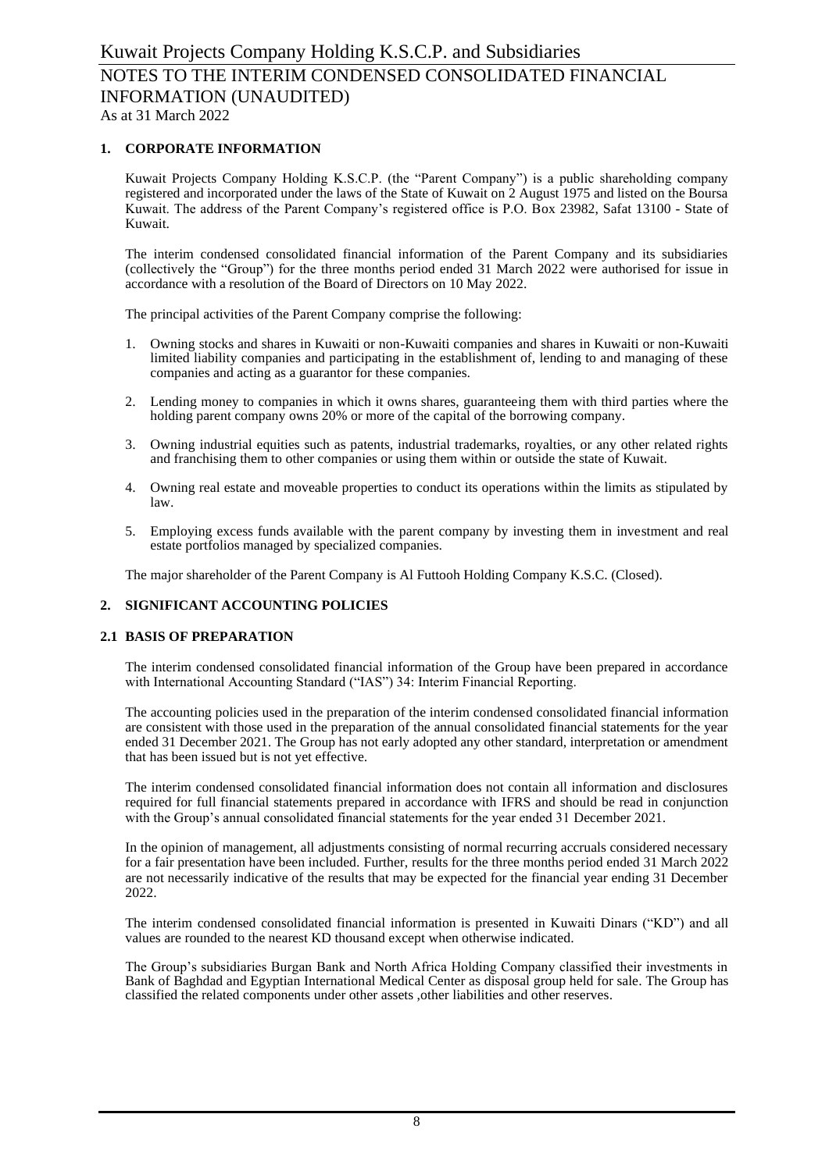# **1. CORPORATE INFORMATION**

Kuwait Projects Company Holding K.S.C.P. (the "Parent Company") is a public shareholding company registered and incorporated under the laws of the State of Kuwait on 2 August 1975 and listed on the Boursa Kuwait. The address of the Parent Company's registered office is P.O. Box 23982, Safat 13100 - State of Kuwait.

The interim condensed consolidated financial information of the Parent Company and its subsidiaries (collectively the "Group") for the three months period ended 31 March 2022 were authorised for issue in accordance with a resolution of the Board of Directors on 10 May 2022.

The principal activities of the Parent Company comprise the following:

- 1. Owning stocks and shares in Kuwaiti or non-Kuwaiti companies and shares in Kuwaiti or non-Kuwaiti limited liability companies and participating in the establishment of, lending to and managing of these companies and acting as a guarantor for these companies.
- 2. Lending money to companies in which it owns shares, guaranteeing them with third parties where the holding parent company owns 20% or more of the capital of the borrowing company.
- 3. Owning industrial equities such as patents, industrial trademarks, royalties, or any other related rights and franchising them to other companies or using them within or outside the state of Kuwait.
- 4. Owning real estate and moveable properties to conduct its operations within the limits as stipulated by law.
- 5. Employing excess funds available with the parent company by investing them in investment and real estate portfolios managed by specialized companies.

The major shareholder of the Parent Company is Al Futtooh Holding Company K.S.C. (Closed).

# **2. SIGNIFICANT ACCOUNTING POLICIES**

# **2.1 BASIS OF PREPARATION**

The interim condensed consolidated financial information of the Group have been prepared in accordance with International Accounting Standard ("IAS") 34: Interim Financial Reporting.

The accounting policies used in the preparation of the interim condensed consolidated financial information are consistent with those used in the preparation of the annual consolidated financial statements for the year ended 31 December 2021. The Group has not early adopted any other standard, interpretation or amendment that has been issued but is not yet effective.

The interim condensed consolidated financial information does not contain all information and disclosures required for full financial statements prepared in accordance with IFRS and should be read in conjunction with the Group's annual consolidated financial statements for the year ended 31 December 2021.

In the opinion of management, all adjustments consisting of normal recurring accruals considered necessary for a fair presentation have been included. Further, results for the three months period ended 31 March 2022 are not necessarily indicative of the results that may be expected for the financial year ending 31 December 2022.

The interim condensed consolidated financial information is presented in Kuwaiti Dinars ("KD") and all values are rounded to the nearest KD thousand except when otherwise indicated.

The Group's subsidiaries Burgan Bank and North Africa Holding Company classified their investments in Bank of Baghdad and Egyptian International Medical Center as disposal group held for sale. The Group has classified the related components under other assets ,other liabilities and other reserves.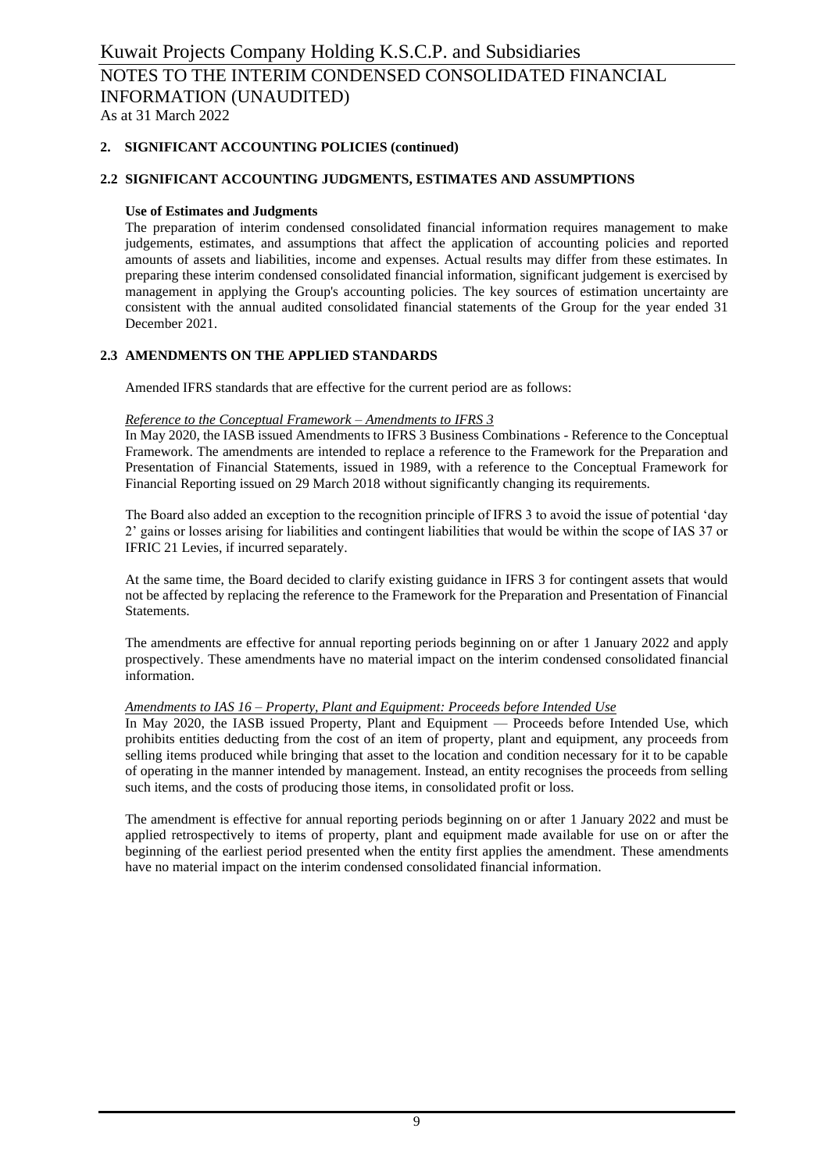# **2. SIGNIFICANT ACCOUNTING POLICIES (continued)**

#### **2.2 SIGNIFICANT ACCOUNTING JUDGMENTS, ESTIMATES AND ASSUMPTIONS**

#### **Use of Estimates and Judgments**

The preparation of interim condensed consolidated financial information requires management to make judgements, estimates, and assumptions that affect the application of accounting policies and reported amounts of assets and liabilities, income and expenses. Actual results may differ from these estimates. In preparing these interim condensed consolidated financial information, significant judgement is exercised by management in applying the Group's accounting policies. The key sources of estimation uncertainty are consistent with the annual audited consolidated financial statements of the Group for the year ended 31 December 2021.

# **2.3 AMENDMENTS ON THE APPLIED STANDARDS**

Amended IFRS standards that are effective for the current period are as follows:

#### *Reference to the Conceptual Framework – Amendments to IFRS 3*

In May 2020, the IASB issued Amendments to IFRS 3 Business Combinations - Reference to the Conceptual Framework. The amendments are intended to replace a reference to the Framework for the Preparation and Presentation of Financial Statements, issued in 1989, with a reference to the Conceptual Framework for Financial Reporting issued on 29 March 2018 without significantly changing its requirements.

The Board also added an exception to the recognition principle of IFRS 3 to avoid the issue of potential 'day 2' gains or losses arising for liabilities and contingent liabilities that would be within the scope of IAS 37 or IFRIC 21 Levies, if incurred separately.

At the same time, the Board decided to clarify existing guidance in IFRS 3 for contingent assets that would not be affected by replacing the reference to the Framework for the Preparation and Presentation of Financial Statements.

The amendments are effective for annual reporting periods beginning on or after 1 January 2022 and apply prospectively. These amendments have no material impact on the interim condensed consolidated financial information.

#### *Amendments to IAS 16 – Property, Plant and Equipment: Proceeds before Intended Use*

In May 2020, the IASB issued Property, Plant and Equipment — Proceeds before Intended Use, which prohibits entities deducting from the cost of an item of property, plant and equipment, any proceeds from selling items produced while bringing that asset to the location and condition necessary for it to be capable of operating in the manner intended by management. Instead, an entity recognises the proceeds from selling such items, and the costs of producing those items, in consolidated profit or loss.

The amendment is effective for annual reporting periods beginning on or after 1 January 2022 and must be applied retrospectively to items of property, plant and equipment made available for use on or after the beginning of the earliest period presented when the entity first applies the amendment. These amendments have no material impact on the interim condensed consolidated financial information.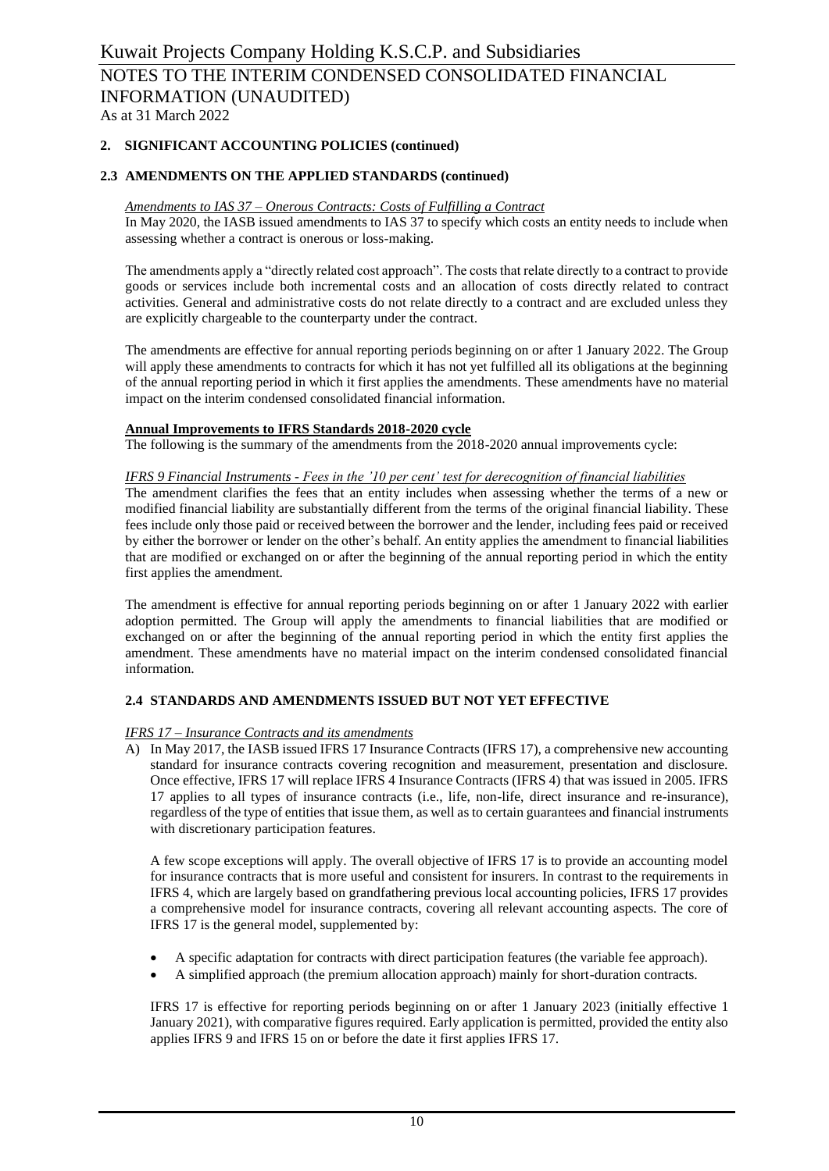# **2. SIGNIFICANT ACCOUNTING POLICIES (continued)**

### **2.3 AMENDMENTS ON THE APPLIED STANDARDS (continued)**

#### *Amendments to IAS 37 – Onerous Contracts: Costs of Fulfilling a Contract*

In May 2020, the IASB issued amendments to IAS 37 to specify which costs an entity needs to include when assessing whether a contract is onerous or loss-making.

The amendments apply a "directly related cost approach". The costs that relate directly to a contract to provide goods or services include both incremental costs and an allocation of costs directly related to contract activities. General and administrative costs do not relate directly to a contract and are excluded unless they are explicitly chargeable to the counterparty under the contract.

The amendments are effective for annual reporting periods beginning on or after 1 January 2022. The Group will apply these amendments to contracts for which it has not yet fulfilled all its obligations at the beginning of the annual reporting period in which it first applies the amendments. These amendments have no material impact on the interim condensed consolidated financial information.

# **Annual Improvements to IFRS Standards 2018-2020 cycle**

The following is the summary of the amendments from the 2018-2020 annual improvements cycle:

#### *IFRS 9 Financial Instruments - Fees in the '10 per cent' test for derecognition of financial liabilities*

The amendment clarifies the fees that an entity includes when assessing whether the terms of a new or modified financial liability are substantially different from the terms of the original financial liability. These fees include only those paid or received between the borrower and the lender, including fees paid or received by either the borrower or lender on the other's behalf. An entity applies the amendment to financial liabilities that are modified or exchanged on or after the beginning of the annual reporting period in which the entity first applies the amendment.

The amendment is effective for annual reporting periods beginning on or after 1 January 2022 with earlier adoption permitted. The Group will apply the amendments to financial liabilities that are modified or exchanged on or after the beginning of the annual reporting period in which the entity first applies the amendment. These amendments have no material impact on the interim condensed consolidated financial information.

#### **2.4 STANDARDS AND AMENDMENTS ISSUED BUT NOT YET EFFECTIVE**

#### *IFRS 17 – Insurance Contracts and its amendments*

A) In May 2017, the IASB issued IFRS 17 Insurance Contracts (IFRS 17), a comprehensive new accounting standard for insurance contracts covering recognition and measurement, presentation and disclosure. Once effective, IFRS 17 will replace IFRS 4 Insurance Contracts (IFRS 4) that was issued in 2005. IFRS 17 applies to all types of insurance contracts (i.e., life, non-life, direct insurance and re-insurance), regardless of the type of entities that issue them, as well as to certain guarantees and financial instruments with discretionary participation features.

A few scope exceptions will apply. The overall objective of IFRS 17 is to provide an accounting model for insurance contracts that is more useful and consistent for insurers. In contrast to the requirements in IFRS 4, which are largely based on grandfathering previous local accounting policies, IFRS 17 provides a comprehensive model for insurance contracts, covering all relevant accounting aspects. The core of IFRS 17 is the general model, supplemented by:

- A specific adaptation for contracts with direct participation features (the variable fee approach).
- A simplified approach (the premium allocation approach) mainly for short-duration contracts.

IFRS 17 is effective for reporting periods beginning on or after 1 January 2023 (initially effective 1 January 2021), with comparative figures required. Early application is permitted, provided the entity also applies IFRS 9 and IFRS 15 on or before the date it first applies IFRS 17.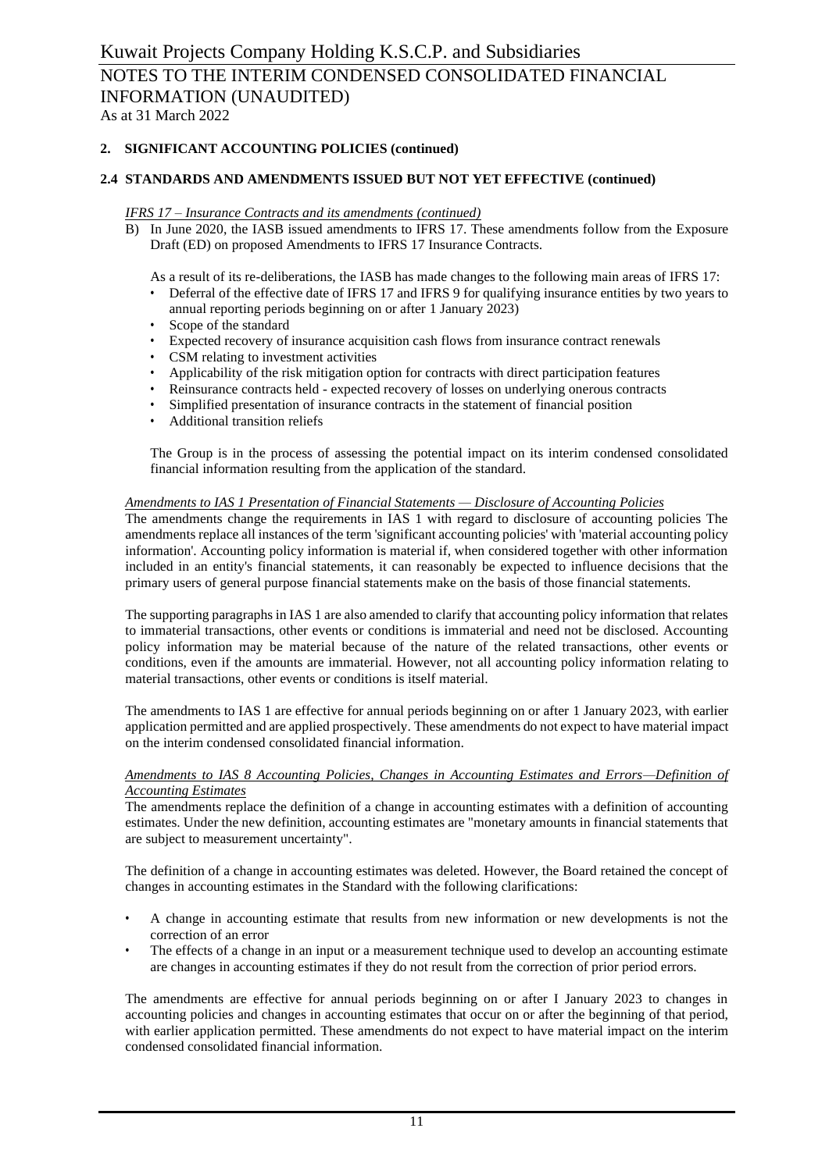# Kuwait Projects Company Holding K.S.C.P. and Subsidiaries NOTES TO THE INTERIM CONDENSED CONSOLIDATED FINANCIAL INFORMATION (UNAUDITED)

As at 31 March 2022

# **2. SIGNIFICANT ACCOUNTING POLICIES (continued)**

#### **2.4 STANDARDS AND AMENDMENTS ISSUED BUT NOT YET EFFECTIVE (continued)**

#### *IFRS 17 – Insurance Contracts and its amendments (continued)*

B) In June 2020, the IASB issued amendments to IFRS 17. These amendments follow from the Exposure Draft (ED) on proposed Amendments to IFRS 17 Insurance Contracts.

As a result of its re-deliberations, the IASB has made changes to the following main areas of IFRS 17:

- Deferral of the effective date of IFRS 17 and IFRS 9 for qualifying insurance entities by two years to annual reporting periods beginning on or after 1 January 2023)
- Scope of the standard
- Expected recovery of insurance acquisition cash flows from insurance contract renewals
- CSM relating to investment activities
- Applicability of the risk mitigation option for contracts with direct participation features
- Reinsurance contracts held expected recovery of losses on underlying onerous contracts
- Simplified presentation of insurance contracts in the statement of financial position
- Additional transition reliefs

The Group is in the process of assessing the potential impact on its interim condensed consolidated financial information resulting from the application of the standard.

#### *Amendments to IAS 1 Presentation of Financial Statements — Disclosure of Accounting Policies*

The amendments change the requirements in IAS 1 with regard to disclosure of accounting policies The amendments replace all instances of the term 'significant accounting policies' with 'material accounting policy information'. Accounting policy information is material if, when considered together with other information included in an entity's financial statements, it can reasonably be expected to influence decisions that the primary users of general purpose financial statements make on the basis of those financial statements.

The supporting paragraphs in IAS 1 are also amended to clarify that accounting policy information that relates to immaterial transactions, other events or conditions is immaterial and need not be disclosed. Accounting policy information may be material because of the nature of the related transactions, other events or conditions, even if the amounts are immaterial. However, not all accounting policy information relating to material transactions, other events or conditions is itself material.

The amendments to IAS 1 are effective for annual periods beginning on or after 1 January 2023, with earlier application permitted and are applied prospectively. These amendments do not expect to have material impact on the interim condensed consolidated financial information.

#### *Amendments to IAS 8 Accounting Policies, Changes in Accounting Estimates and Errors—Definition of Accounting Estimates*

The amendments replace the definition of a change in accounting estimates with a definition of accounting estimates. Under the new definition, accounting estimates are "monetary amounts in financial statements that are subject to measurement uncertainty".

The definition of a change in accounting estimates was deleted. However, the Board retained the concept of changes in accounting estimates in the Standard with the following clarifications:

- A change in accounting estimate that results from new information or new developments is not the correction of an error
- The effects of a change in an input or a measurement technique used to develop an accounting estimate are changes in accounting estimates if they do not result from the correction of prior period errors.

The amendments are effective for annual periods beginning on or after I January 2023 to changes in accounting policies and changes in accounting estimates that occur on or after the beginning of that period, with earlier application permitted. These amendments do not expect to have material impact on the interim condensed consolidated financial information.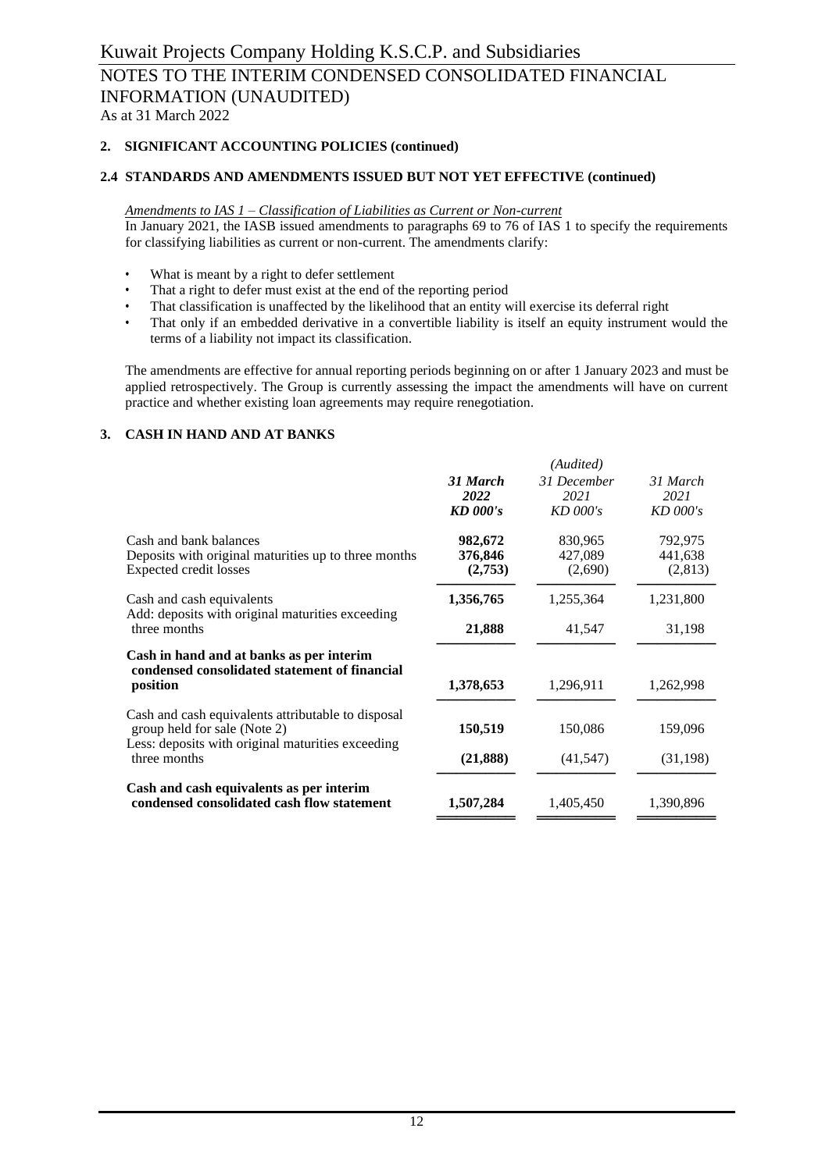# Kuwait Projects Company Holding K.S.C.P. and Subsidiaries NOTES TO THE INTERIM CONDENSED CONSOLIDATED FINANCIAL INFORMATION (UNAUDITED) As at 31 March 2022

## **2. SIGNIFICANT ACCOUNTING POLICIES (continued)**

# **2.4 STANDARDS AND AMENDMENTS ISSUED BUT NOT YET EFFECTIVE (continued)**

#### *Amendments to IAS 1 – Classification of Liabilities as Current or Non-current*

In January 2021, the IASB issued amendments to paragraphs 69 to 76 of IAS 1 to specify the requirements for classifying liabilities as current or non-current. The amendments clarify:

- What is meant by a right to defer settlement
- That a right to defer must exist at the end of the reporting period
- That classification is unaffected by the likelihood that an entity will exercise its deferral right
- That only if an embedded derivative in a convertible liability is itself an equity instrument would the terms of a liability not impact its classification.

The amendments are effective for annual reporting periods beginning on or after 1 January 2023 and must be applied retrospectively. The Group is currently assessing the impact the amendments will have on current practice and whether existing loan agreements may require renegotiation.

#### **3. CASH IN HAND AND AT BANKS**

|                                                                                                                                         |                                     | (Audited)                         |                               |
|-----------------------------------------------------------------------------------------------------------------------------------------|-------------------------------------|-----------------------------------|-------------------------------|
|                                                                                                                                         | 31 March<br>2022<br><b>KD</b> 000's | 31 December<br>2021<br>$KD$ 000's | 31 March<br>2021<br>KD 000's  |
| Cash and bank balances<br>Deposits with original maturities up to three months<br>Expected credit losses                                | 982,672<br>376,846<br>(2,753)       | 830,965<br>427,089<br>(2,690)     | 792,975<br>441,638<br>(2,813) |
| Cash and cash equivalents                                                                                                               | 1,356,765                           | 1,255,364                         | 1,231,800                     |
| Add: deposits with original maturities exceeding<br>three months                                                                        | 21,888                              |                                   | 31,198                        |
| Cash in hand and at banks as per interim<br>condensed consolidated statement of financial<br>position                                   | 1,378,653                           | 1,296,911                         | 1,262,998                     |
| Cash and cash equivalents attributable to disposal<br>group held for sale (Note 2)<br>Less: deposits with original maturities exceeding | 150,519                             | 150,086                           | 159,096                       |
| three months                                                                                                                            | (21, 888)                           | (41, 547)                         | (31, 198)                     |
| Cash and cash equivalents as per interim<br>condensed consolidated cash flow statement                                                  | 1,507,284                           | 1,405,450                         | 1,390,896                     |
|                                                                                                                                         |                                     |                                   |                               |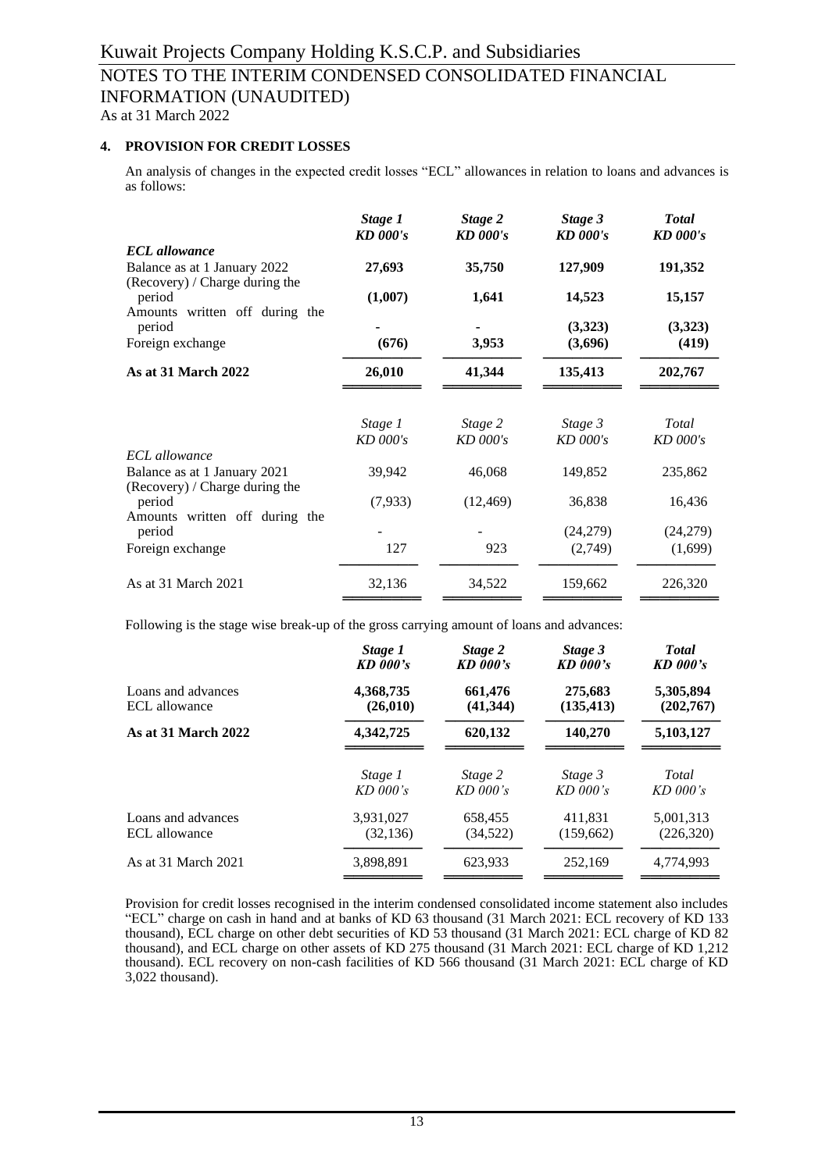As at 31 March 2022

# **4. PROVISION FOR CREDIT LOSSES**

An analysis of changes in the expected credit losses "ECL" allowances in relation to loans and advances is as follows:

|                                                                            | Stage 1<br><b>KD</b> 000's | Stage 2<br><b>KD</b> 000's | Stage 3<br><b>KD</b> 000's | <b>Total</b><br><b>KD</b> 000's |  |
|----------------------------------------------------------------------------|----------------------------|----------------------------|----------------------------|---------------------------------|--|
| <b>ECL</b> allowance                                                       |                            |                            |                            |                                 |  |
| Balance as at 1 January 2022                                               | 27,693                     | 35,750                     | 127,909                    | 191,352                         |  |
| (Recovery) / Charge during the<br>period                                   | (1,007)                    | 1,641                      | 14,523                     | 15,157                          |  |
| Amounts written off during the<br>period                                   |                            |                            | (3,323)                    | (3,323)                         |  |
| Foreign exchange                                                           | (676)                      | 3,953                      | (3,696)                    | (419)                           |  |
| As at 31 March 2022                                                        | 26,010                     | 41,344                     | 135,413                    | 202,767                         |  |
| <b>ECL</b> allowance                                                       | Stage 1<br>$KD$ 000's      | Stage 2<br>$KD$ 000's      | Stage 3<br>KD 000's        | Total<br>$KD$ 000's             |  |
| Balance as at 1 January 2021                                               | 39,942                     | 46,068                     | 149,852                    | 235,862                         |  |
| (Recovery) / Charge during the<br>period<br>Amounts written off during the | (7,933)                    | (12, 469)                  | 36,838                     | 16,436                          |  |
| period                                                                     |                            |                            | (24,279)                   | (24,279)                        |  |
| Foreign exchange                                                           | 127                        | 923                        | (2,749)                    | (1,699)                         |  |
| As at 31 March 2021                                                        | 32,136                     | 34,522                     | 159,662                    | 226,320                         |  |

Following is the stage wise break-up of the gross carrying amount of loans and advances:

|                     | Stage 1         | Stage 2    | Stage 3    | <b>T</b> otal |
|---------------------|-----------------|------------|------------|---------------|
|                     | <b>KD</b> 000's | $KD$ 000's | $KD$ 000's | $KD$ 000's    |
| Loans and advances  | 4,368,735       | 661,476    | 275,683    | 5,305,894     |
| ECL allowance       | (26, 010)       | (41, 344)  | (135, 413) | (202,767)     |
| As at 31 March 2022 | 4,342,725       | 620,132    | 140,270    | 5,103,127     |
|                     | Stage 1         | Stage 2    | Stage 3    | Total         |
|                     | $KD$ 000's      | $KD$ 000's | $KD$ 000's | $KD$ 000's    |
| Loans and advances  | 3,931,027       | 658,455    | 411,831    | 5,001,313     |
| ECL allowance       | (32, 136)       | (34, 522)  | (159,662)  | (226,320)     |
| As at 31 March 2021 | 3,898,891       | 623,933    | 252,169    | 4,774,993     |

Provision for credit losses recognised in the interim condensed consolidated income statement also includes "ECL" charge on cash in hand and at banks of KD 63 thousand (31 March 2021: ECL recovery of KD 133 thousand), ECL charge on other debt securities of KD 53 thousand (31 March 2021: ECL charge of KD 82 thousand), and ECL charge on other assets of KD 275 thousand (31 March 2021: ECL charge of KD 1,212 thousand). ECL recovery on non-cash facilities of KD 566 thousand (31 March 2021: ECL charge of KD 3,022 thousand).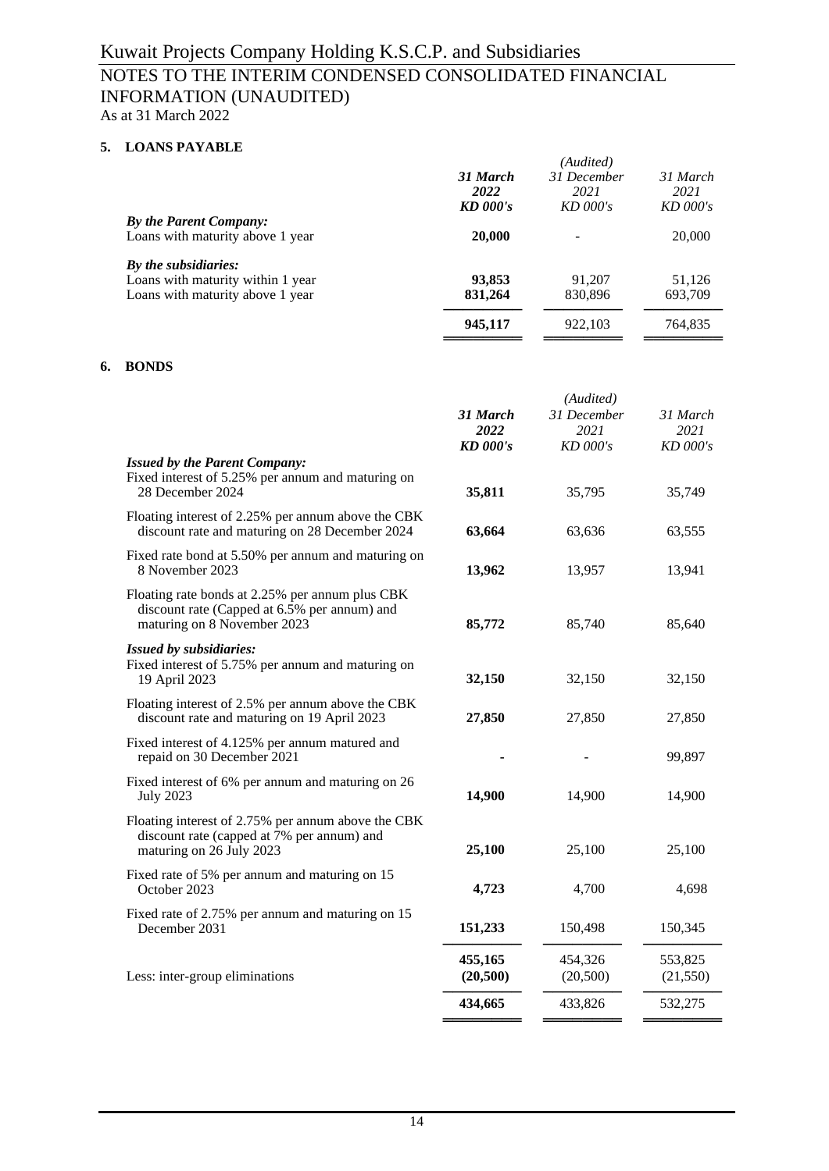As at 31 March 2022

# **5. LOANS PAYABLE**

|                                                            |                         | (Audited)          |                    |
|------------------------------------------------------------|-------------------------|--------------------|--------------------|
|                                                            | 31 March                | 31 December        | 31 March           |
|                                                            | 2022<br><b>KD</b> 000's | 2021<br>$KD$ 000's | 2021<br>$KD$ 000's |
| By the Parent Company:<br>Loans with maturity above 1 year | 20,000                  |                    | 20,000             |
| By the subsidiaries:                                       |                         |                    |                    |
| Loans with maturity within 1 year                          | 93,853                  | 91,207             | 51,126             |
| Loans with maturity above 1 year                           | 831,264                 | 830,896            | 693,709            |
|                                                            | 945,117                 | 922,103            | 764,835            |
|                                                            |                         |                    |                    |

#### **6. BONDS**

|                                                                                                                                |                                     | (Audited)                       |                              |
|--------------------------------------------------------------------------------------------------------------------------------|-------------------------------------|---------------------------------|------------------------------|
|                                                                                                                                | 31 March<br>2022<br><b>KD</b> 000's | 31 December<br>2021<br>KD 000's | 31 March<br>2021<br>KD 000's |
| <b>Issued by the Parent Company:</b><br>Fixed interest of 5.25% per annum and maturing on<br>28 December 2024                  | 35,811                              | 35,795                          | 35,749                       |
| Floating interest of 2.25% per annum above the CBK<br>discount rate and maturing on 28 December 2024                           | 63,664                              | 63,636                          | 63,555                       |
| Fixed rate bond at 5.50% per annum and maturing on<br>8 November 2023                                                          | 13,962                              | 13,957                          | 13,941                       |
| Floating rate bonds at 2.25% per annum plus CBK<br>discount rate (Capped at 6.5% per annum) and<br>maturing on 8 November 2023 | 85,772                              | 85,740                          | 85,640                       |
| <b>Issued by subsidiaries:</b><br>Fixed interest of 5.75% per annum and maturing on<br>19 April 2023                           | 32,150                              | 32,150                          | 32,150                       |
| Floating interest of 2.5% per annum above the CBK<br>discount rate and maturing on 19 April 2023                               | 27,850                              | 27,850                          | 27,850                       |
| Fixed interest of 4.125% per annum matured and<br>repaid on 30 December 2021                                                   |                                     |                                 | 99,897                       |
| Fixed interest of 6% per annum and maturing on 26<br><b>July 2023</b>                                                          | 14,900                              | 14,900                          | 14,900                       |
| Floating interest of 2.75% per annum above the CBK<br>discount rate (capped at 7% per annum) and<br>maturing on 26 July 2023   | 25,100                              | 25,100                          | 25,100                       |
| Fixed rate of 5% per annum and maturing on 15<br>October 2023                                                                  | 4,723                               | 4,700                           | 4,698                        |
| Fixed rate of 2.75% per annum and maturing on 15<br>December 2031                                                              | 151,233                             | 150,498                         | 150,345                      |
| Less: inter-group eliminations                                                                                                 | 455,165<br>(20,500)                 | 454,326<br>(20,500)             | 553,825<br>(21, 550)         |
|                                                                                                                                | 434,665                             | 433,826                         | 532,275                      |
|                                                                                                                                |                                     |                                 |                              |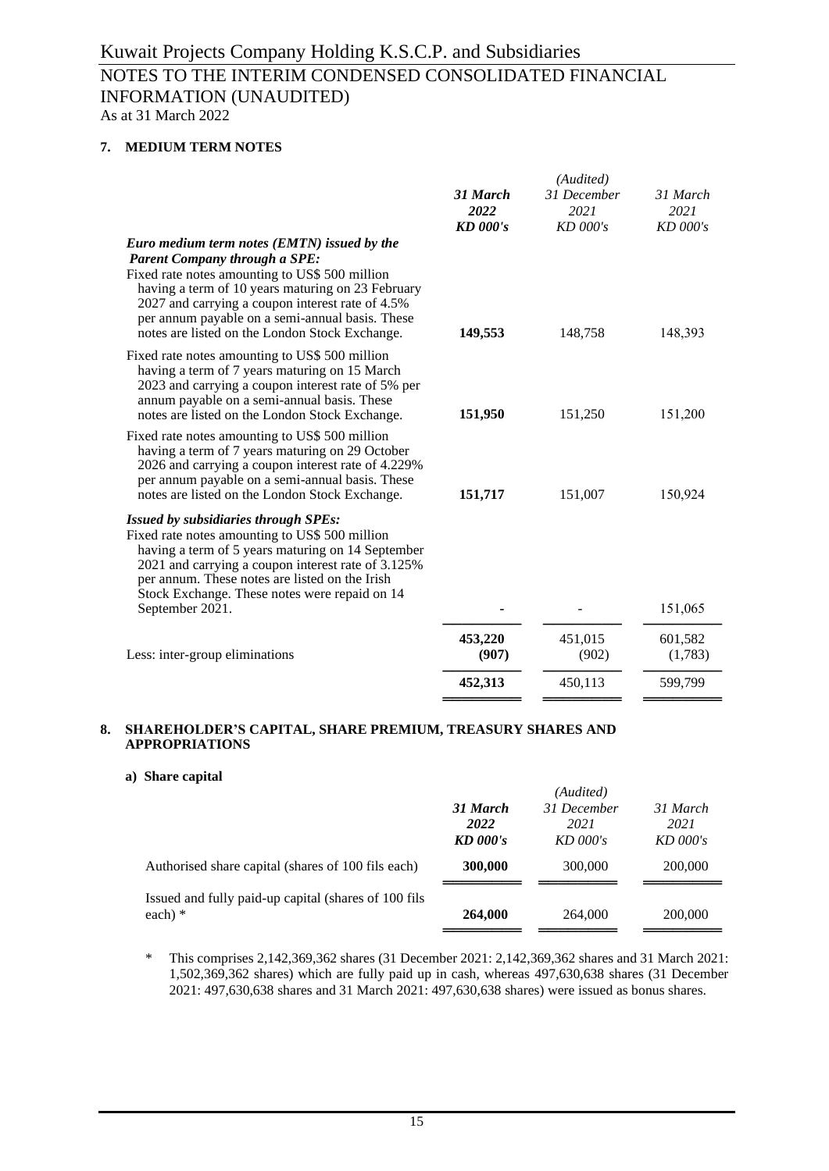As at 31 March 2022

# **7. MEDIUM TERM NOTES**

|                                                                                                                                                                                                                                                                                                                                                     |                  | (Audited)           |                    |
|-----------------------------------------------------------------------------------------------------------------------------------------------------------------------------------------------------------------------------------------------------------------------------------------------------------------------------------------------------|------------------|---------------------|--------------------|
|                                                                                                                                                                                                                                                                                                                                                     | 31 March<br>2022 | 31 December<br>2021 | 31 March<br>2021   |
|                                                                                                                                                                                                                                                                                                                                                     | $KD$ 000's       | $KD$ 000's          | $KD$ 000's         |
| Euro medium term notes (EMTN) issued by the<br><b>Parent Company through a SPE:</b><br>Fixed rate notes amounting to US\$ 500 million<br>having a term of 10 years maturing on 23 February<br>2027 and carrying a coupon interest rate of 4.5%<br>per annum payable on a semi-annual basis. These<br>notes are listed on the London Stock Exchange. | 149,553          | 148,758             | 148,393            |
| Fixed rate notes amounting to US\$ 500 million<br>having a term of 7 years maturing on 15 March<br>2023 and carrying a coupon interest rate of 5% per<br>annum payable on a semi-annual basis. These<br>notes are listed on the London Stock Exchange.                                                                                              | 151,950          | 151,250             | 151,200            |
| Fixed rate notes amounting to US\$ 500 million<br>having a term of 7 years maturing on 29 October<br>2026 and carrying a coupon interest rate of 4.229%<br>per annum payable on a semi-annual basis. These<br>notes are listed on the London Stock Exchange.                                                                                        | 151,717          | 151,007             | 150,924            |
| <b>Issued by subsidiaries through SPEs:</b><br>Fixed rate notes amounting to US\$ 500 million<br>having a term of 5 years maturing on 14 September<br>2021 and carrying a coupon interest rate of 3.125%<br>per annum. These notes are listed on the Irish<br>Stock Exchange. These notes were repaid on 14                                         |                  |                     |                    |
| September 2021.                                                                                                                                                                                                                                                                                                                                     |                  |                     | 151,065            |
| Less: inter-group eliminations                                                                                                                                                                                                                                                                                                                      | 453,220<br>(907) | 451,015<br>(902)    | 601,582<br>(1,783) |
|                                                                                                                                                                                                                                                                                                                                                     | 452,313          | 450,113             | 599,799            |
|                                                                                                                                                                                                                                                                                                                                                     |                  |                     |                    |

# **8. SHAREHOLDER'S CAPITAL, SHARE PREMIUM, TREASURY SHARES AND APPROPRIATIONS**

#### **a) Share capital**

|                                                       |                 | (Audited)   |            |
|-------------------------------------------------------|-----------------|-------------|------------|
|                                                       | 31 March        | 31 December | 31 March   |
|                                                       | 2022            | 2021        | 2021       |
|                                                       | <b>KD</b> 000's | $KD$ 000's  | $KD$ 000's |
| Authorised share capital (shares of 100 fils each)    | 300,000         | 300,000     | 200,000    |
| Issued and fully paid-up capital (shares of 100 fils) |                 |             |            |
| each) $*$                                             | 264,000         | 264,000     | 200,000    |
|                                                       |                 |             |            |

\* This comprises 2,142,369,362 shares (31 December 2021: 2,142,369,362 shares and 31 March 2021: 1,502,369,362 shares) which are fully paid up in cash, whereas 497,630,638 shares (31 December 2021: 497,630,638 shares and 31 March 2021: 497,630,638 shares) were issued as bonus shares.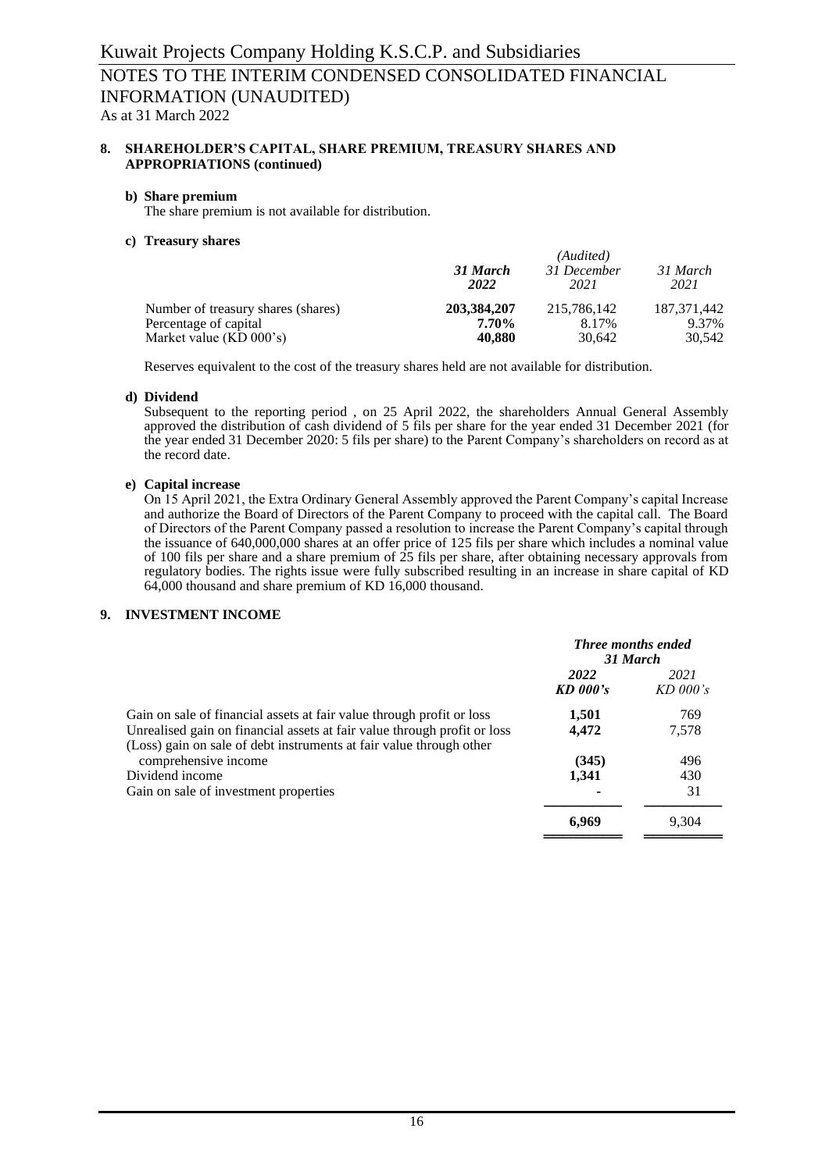As at 31 March 2022

#### **8. SHAREHOLDER'S CAPITAL, SHARE PREMIUM, TREASURY SHARES AND APPROPRIATIONS (continued)**

#### **b) Share premium**

The share premium is not available for distribution.

#### **c) Treasury shares**

|                                    | 31 March<br>2022 | (Audited)<br>31 December<br>2021 | 31 March<br>2021 |
|------------------------------------|------------------|----------------------------------|------------------|
| Number of treasury shares (shares) | 203, 384, 207    | 215.786.142                      | 187.371.442      |
| Percentage of capital              | 7.70%            | 8.17%                            | 9.37%            |
| Market value $(KD 000's)$          | 40,880           | 30.642                           | 30,542           |

Reserves equivalent to the cost of the treasury shares held are not available for distribution.

# **d) Dividend**

Subsequent to the reporting period , on 25 April 2022, the shareholders Annual General Assembly approved the distribution of cash dividend of 5 fils per share for the year ended 31 December 2021 (for the year ended 31 December 2020: 5 fils per share) to the Parent Company's shareholders on record as at the record date.

# **e) Capital increase**

On 15 April 2021, the Extra Ordinary General Assembly approved the Parent Company's capital Increase and authorize the Board of Directors of the Parent Company to proceed with the capital call. The Board of Directors of the Parent Company passed a resolution to increase the Parent Company's capital through the issuance of 640,000,000 shares at an offer price of 125 fils per share which includes a nominal value of 100 fils per share and a share premium of 25 fils per share, after obtaining necessary approvals from regulatory bodies. The rights issue were fully subscribed resulting in an increase in share capital of KD 64,000 thousand and share premium of KD 16,000 thousand.

# **9. INVESTMENT INCOME**

|                                                                                                                                                                                                                          | <b>Three months ended</b><br>31 March |                    |
|--------------------------------------------------------------------------------------------------------------------------------------------------------------------------------------------------------------------------|---------------------------------------|--------------------|
|                                                                                                                                                                                                                          | 2022<br><b>KD</b> 000's               | 2021<br>$KD$ 000's |
| Gain on sale of financial assets at fair value through profit or loss<br>Unrealised gain on financial assets at fair value through profit or loss<br>(Loss) gain on sale of debt instruments at fair value through other | 1,501<br>4,472                        | 769<br>7,578       |
| comprehensive income                                                                                                                                                                                                     | (345)                                 | 496                |
| Dividend income                                                                                                                                                                                                          | 1,341                                 | 430                |
| Gain on sale of investment properties                                                                                                                                                                                    |                                       | 31                 |
|                                                                                                                                                                                                                          | 6,969                                 | 9,304              |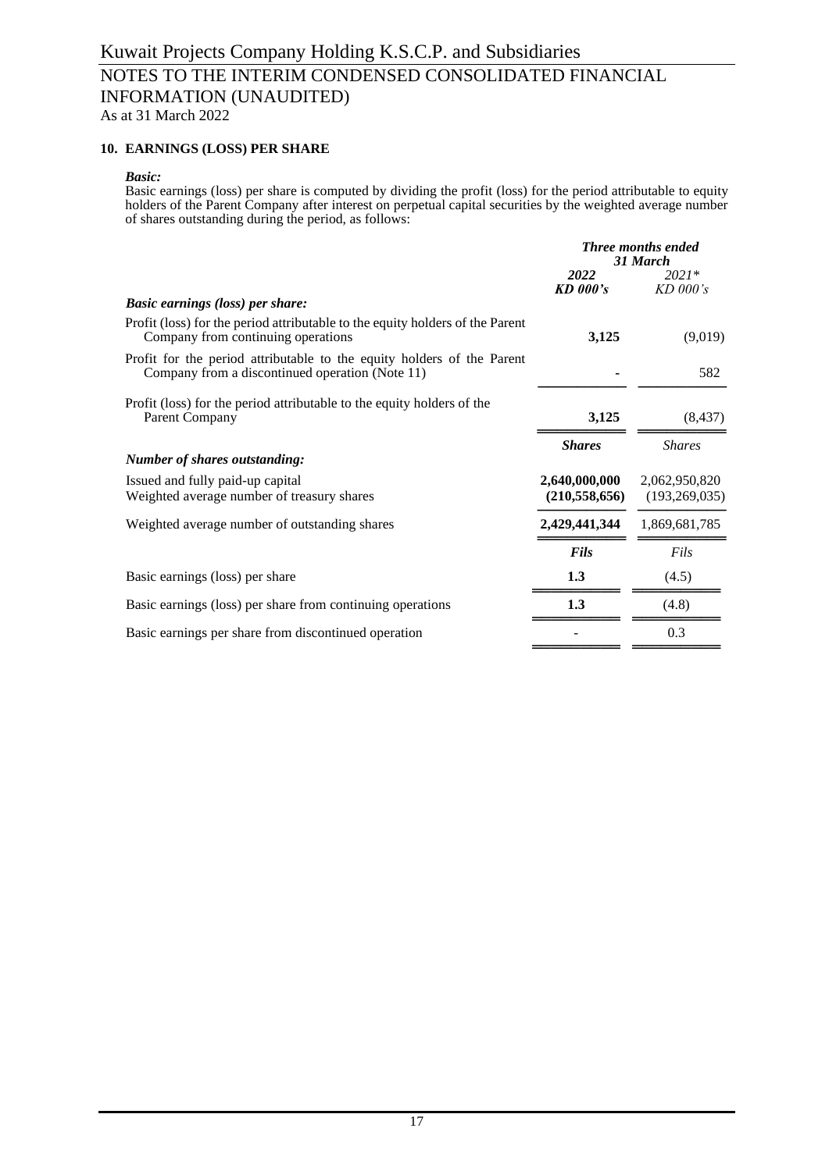As at 31 March 2022

## **10. EARNINGS (LOSS) PER SHARE**

#### *Basic:*

Basic earnings (loss) per share is computed by dividing the profit (loss) for the period attributable to equity holders of the Parent Company after interest on perpetual capital securities by the weighted average number of shares outstanding during the period, as follows:

|                                                                                                                           | <b>Three months ended</b><br>31 March |                       |  |
|---------------------------------------------------------------------------------------------------------------------------|---------------------------------------|-----------------------|--|
|                                                                                                                           | 2022<br>KD 000's                      | $2021*$<br>$KD$ 000's |  |
| <b>Basic earnings (loss) per share:</b>                                                                                   |                                       |                       |  |
| Profit (loss) for the period attributable to the equity holders of the Parent<br>Company from continuing operations       | 3,125                                 | (9,019)               |  |
| Profit for the period attributable to the equity holders of the Parent<br>Company from a discontinued operation (Note 11) |                                       | 582                   |  |
| Profit (loss) for the period attributable to the equity holders of the<br>Parent Company                                  | 3,125                                 | (8, 437)              |  |
|                                                                                                                           | <b>Shares</b>                         | <b>Shares</b>         |  |
| <b>Number of shares outstanding:</b>                                                                                      |                                       |                       |  |
| Issued and fully paid-up capital                                                                                          | 2,640,000,000                         | 2,062,950,820         |  |
| Weighted average number of treasury shares                                                                                | (210, 558, 656)                       | (193, 269, 035)       |  |
| Weighted average number of outstanding shares                                                                             | 2,429,441,344                         | 1,869,681,785         |  |
|                                                                                                                           | <b>Fils</b>                           | Fils                  |  |
| Basic earnings (loss) per share                                                                                           | 1.3                                   | (4.5)                 |  |
| Basic earnings (loss) per share from continuing operations                                                                | 1.3                                   | (4.8)                 |  |
| Basic earnings per share from discontinued operation                                                                      |                                       | 0.3                   |  |
|                                                                                                                           |                                       |                       |  |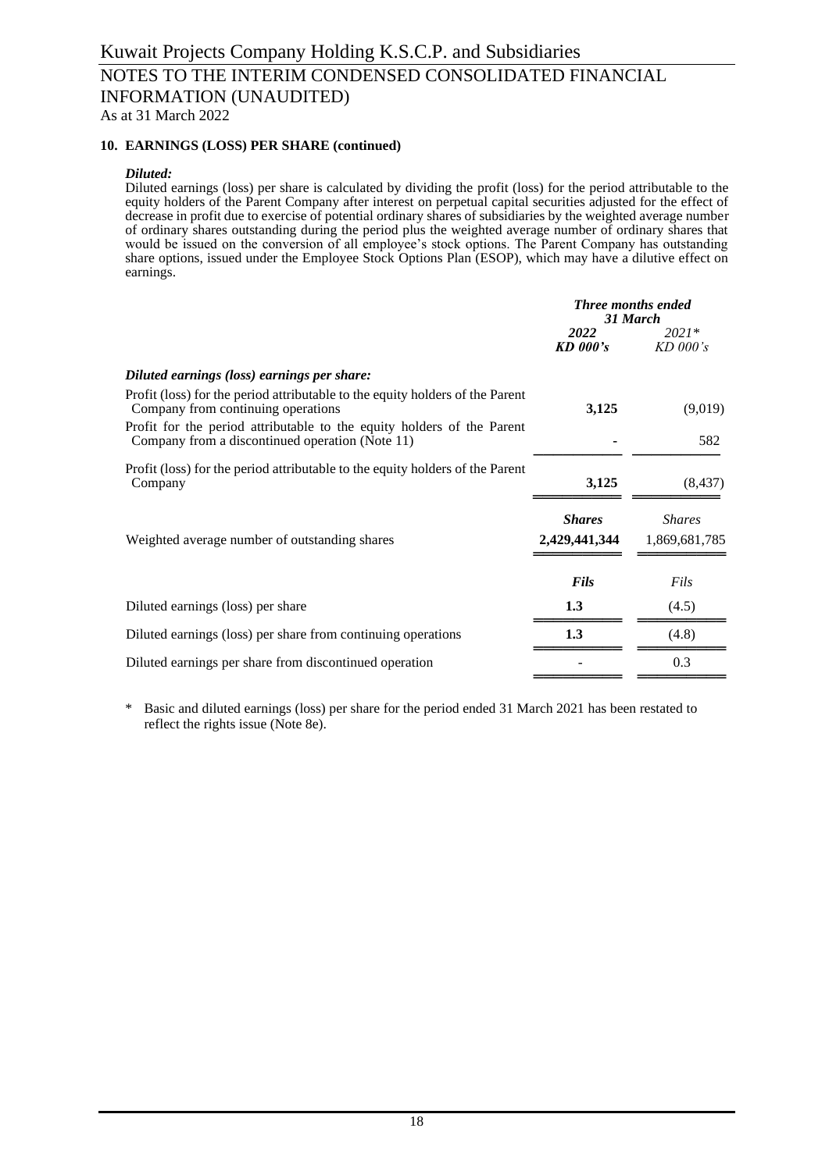# **10. EARNINGS (LOSS) PER SHARE (continued)**

#### *Diluted:*

Diluted earnings (loss) per share is calculated by dividing the profit (loss) for the period attributable to the equity holders of the Parent Company after interest on perpetual capital securities adjusted for the effect of decrease in profit due to exercise of potential ordinary shares of subsidiaries by the weighted average number of ordinary shares outstanding during the period plus the weighted average number of ordinary shares that would be issued on the conversion of all employee's stock options. The Parent Company has outstanding share options, issued under the Employee Stock Options Plan (ESOP), which may have a dilutive effect on earnings.

| <b>Three months ended</b><br>31 March |                                |
|---------------------------------------|--------------------------------|
| 2022<br>$KD$ 000's                    | $2021*$<br>$KD$ 000's          |
|                                       |                                |
| 3,125                                 | (9,019)                        |
|                                       | 582                            |
| 3,125                                 | (8, 437)                       |
| <b>Shares</b><br>2,429,441,344        | <b>Shares</b><br>1,869,681,785 |
| <b>Fils</b>                           | Fils                           |
| 1.3                                   | (4.5)                          |
| 1.3                                   | (4.8)                          |
|                                       | 0.3                            |
|                                       |                                |

\* Basic and diluted earnings (loss) per share for the period ended 31 March 2021 has been restated to reflect the rights issue (Note 8e).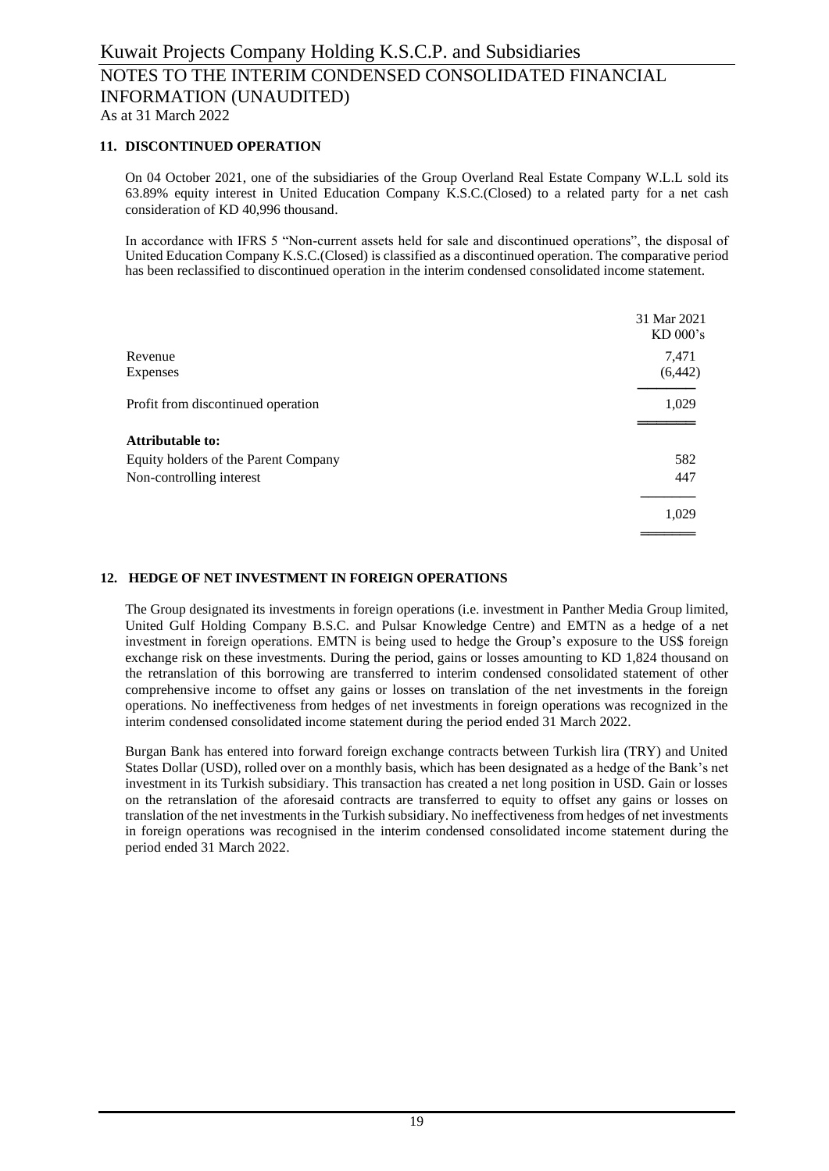# **11. DISCONTINUED OPERATION**

On 04 October 2021, one of the subsidiaries of the Group Overland Real Estate Company W.L.L sold its 63.89% equity interest in United Education Company K.S.C.(Closed) to a related party for a net cash consideration of KD 40,996 thousand.

In accordance with IFRS 5 "Non-current assets held for sale and discontinued operations", the disposal of United Education Company K.S.C.(Closed) is classified as a discontinued operation. The comparative period has been reclassified to discontinued operation in the interim condensed consolidated income statement.

|                                      | 31 Mar 2021<br>$KD$ 000's |
|--------------------------------------|---------------------------|
| Revenue                              | 7,471                     |
| Expenses                             | (6, 442)                  |
| Profit from discontinued operation   | 1,029                     |
| <b>Attributable to:</b>              |                           |
| Equity holders of the Parent Company | 582                       |
| Non-controlling interest             | 447                       |
|                                      | 1,029                     |
|                                      |                           |

### **12. HEDGE OF NET INVESTMENT IN FOREIGN OPERATIONS**

The Group designated its investments in foreign operations (i.e. investment in Panther Media Group limited, United Gulf Holding Company B.S.C. and Pulsar Knowledge Centre) and EMTN as a hedge of a net investment in foreign operations. EMTN is being used to hedge the Group's exposure to the US\$ foreign exchange risk on these investments. During the period, gains or losses amounting to KD 1,824 thousand on the retranslation of this borrowing are transferred to interim condensed consolidated statement of other comprehensive income to offset any gains or losses on translation of the net investments in the foreign operations. No ineffectiveness from hedges of net investments in foreign operations was recognized in the interim condensed consolidated income statement during the period ended 31 March 2022.

Burgan Bank has entered into forward foreign exchange contracts between Turkish lira (TRY) and United States Dollar (USD), rolled over on a monthly basis, which has been designated as a hedge of the Bank's net investment in its Turkish subsidiary. This transaction has created a net long position in USD. Gain or losses on the retranslation of the aforesaid contracts are transferred to equity to offset any gains or losses on translation of the net investments in the Turkish subsidiary. No ineffectiveness from hedges of net investments in foreign operations was recognised in the interim condensed consolidated income statement during the period ended 31 March 2022.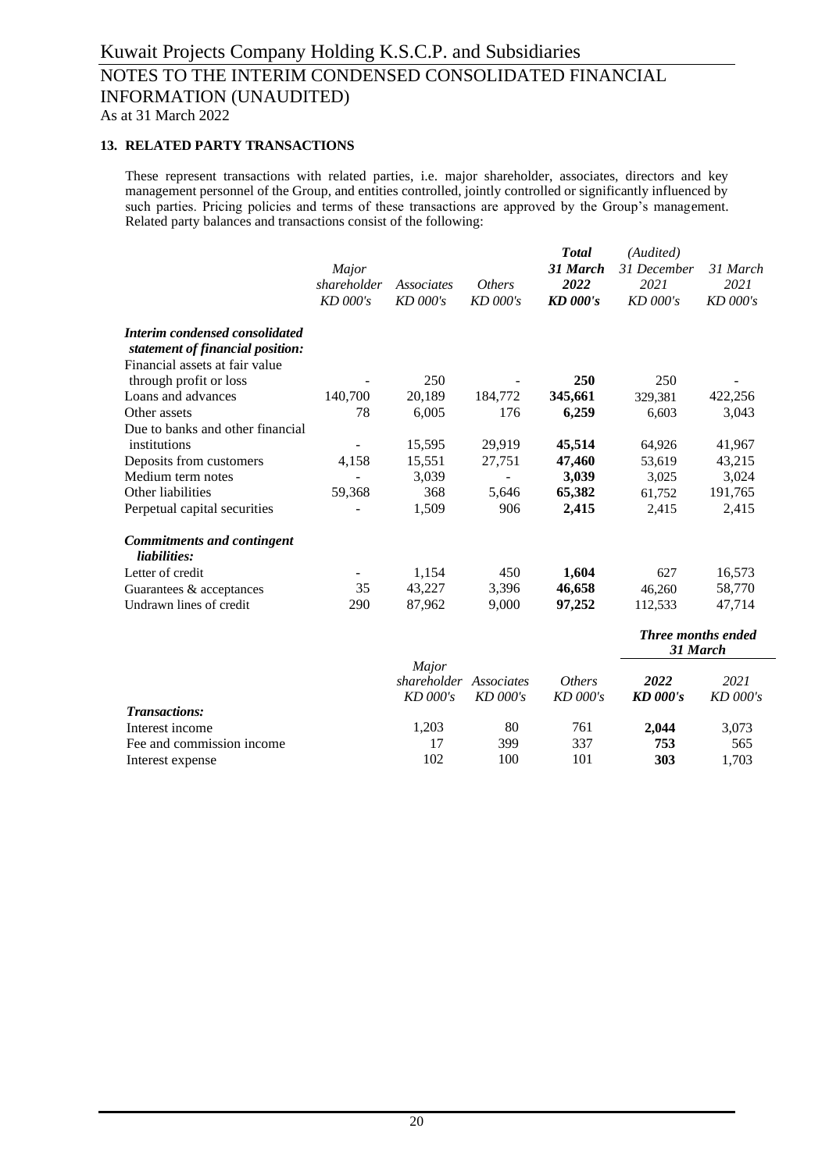# **13. RELATED PARTY TRANSACTIONS**

These represent transactions with related parties, i.e. major shareholder, associates, directors and key management personnel of the Group, and entities controlled, jointly controlled or significantly influenced by such parties. Pricing policies and terms of these transactions are approved by the Group's management. Related party balances and transactions consist of the following:

|                                                                    | Major<br>shareholder<br>KD 000's | <b>Associates</b><br>$KD$ 000's  | <b>Others</b><br>KD 000's | <b>Total</b><br>31 March<br>2022<br><b>KD</b> 000's | (Audited)<br>31 December<br>2021<br>KD 000's | 31 March<br>2021<br>KD 000's |
|--------------------------------------------------------------------|----------------------------------|----------------------------------|---------------------------|-----------------------------------------------------|----------------------------------------------|------------------------------|
| <b>Interim condensed consolidated</b>                              |                                  |                                  |                           |                                                     |                                              |                              |
| statement of financial position:<br>Financial assets at fair value |                                  |                                  |                           |                                                     |                                              |                              |
| through profit or loss                                             |                                  | 250                              |                           | 250                                                 | 250                                          |                              |
| Loans and advances                                                 | 140,700                          | 20,189                           | 184,772                   | 345,661                                             | 329,381                                      | 422,256                      |
| Other assets                                                       | 78                               | 6,005                            | 176                       | 6,259                                               | 6,603                                        | 3,043                        |
| Due to banks and other financial                                   |                                  |                                  |                           |                                                     |                                              |                              |
| institutions                                                       |                                  | 15,595                           | 29,919                    | 45,514                                              | 64,926                                       | 41,967                       |
| Deposits from customers                                            | 4,158                            | 15,551                           | 27,751                    | 47,460                                              | 53,619                                       | 43,215                       |
| Medium term notes                                                  |                                  | 3,039                            |                           | 3,039                                               | 3,025                                        | 3,024                        |
| Other liabilities                                                  | 59,368                           | 368                              | 5,646                     | 65,382                                              | 61,752                                       | 191,765                      |
| Perpetual capital securities                                       |                                  | 1,509                            | 906                       | 2,415                                               | 2,415                                        | 2,415                        |
| <b>Commitments and contingent</b><br>liabilities:                  |                                  |                                  |                           |                                                     |                                              |                              |
| Letter of credit                                                   |                                  | 1,154                            | 450                       | 1,604                                               | 627                                          | 16,573                       |
| Guarantees & acceptances                                           | 35                               | 43,227                           | 3,396                     | 46,658                                              | 46,260                                       | 58,770                       |
| Undrawn lines of credit                                            | 290                              | 87,962                           | 9,000                     | 97,252                                              | 112,533                                      | 47,714                       |
|                                                                    |                                  |                                  |                           |                                                     | <b>Three months ended</b><br>31 March        |                              |
|                                                                    |                                  | Major<br>shareholder<br>KD 000's | Associates<br>KD 000's    | <b>Others</b><br>KD 000's                           | 2022<br><b>KD</b> 000's                      | 2021<br>KD 000's             |
| <b>Transactions:</b>                                               |                                  |                                  |                           |                                                     |                                              |                              |
| Interest income                                                    |                                  | 1,203                            | 80                        | 761                                                 | 2,044                                        | 3,073                        |
| Fee and commission income                                          |                                  | 17                               | 399                       | 337                                                 | 753                                          | 565                          |
| Interest expense                                                   |                                  | 102                              | 100                       | 101                                                 | 303                                          | 1,703                        |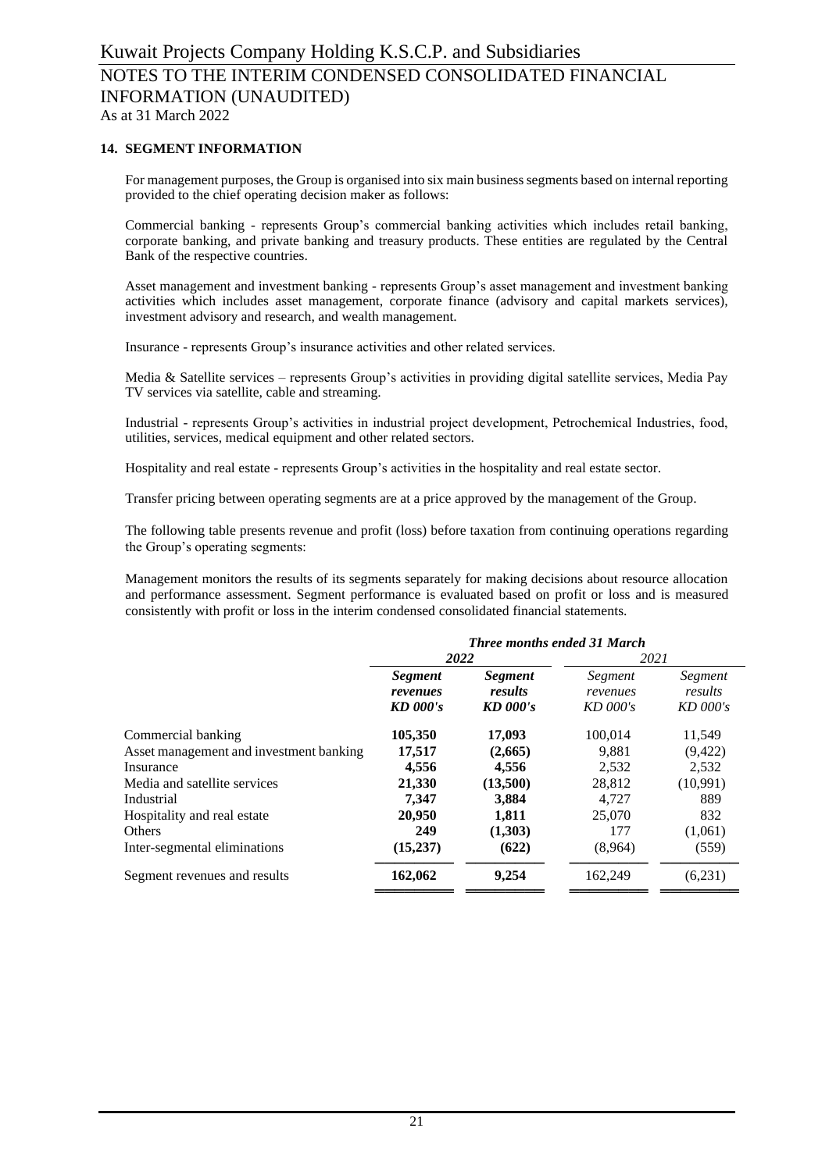# **14. SEGMENT INFORMATION**

For management purposes, the Group is organised into six main business segments based on internal reporting provided to the chief operating decision maker as follows:

Commercial banking - represents Group's commercial banking activities which includes retail banking, corporate banking, and private banking and treasury products. These entities are regulated by the Central Bank of the respective countries.

Asset management and investment banking - represents Group's asset management and investment banking activities which includes asset management, corporate finance (advisory and capital markets services), investment advisory and research, and wealth management.

Insurance - represents Group's insurance activities and other related services.

Media & Satellite services – represents Group's activities in providing digital satellite services, Media Pay TV services via satellite, cable and streaming.

Industrial - represents Group's activities in industrial project development, Petrochemical Industries, food, utilities, services, medical equipment and other related sectors.

Hospitality and real estate - represents Group's activities in the hospitality and real estate sector.

Transfer pricing between operating segments are at a price approved by the management of the Group.

The following table presents revenue and profit (loss) before taxation from continuing operations regarding the Group's operating segments:

Management monitors the results of its segments separately for making decisions about resource allocation and performance assessment. Segment performance is evaluated based on profit or loss and is measured consistently with profit or loss in the interim condensed consolidated financial statements.

|                                         | <b>Three months ended 31 March</b>       |                                  |                                   |                                  |
|-----------------------------------------|------------------------------------------|----------------------------------|-----------------------------------|----------------------------------|
|                                         | 2022                                     |                                  | 2021                              |                                  |
|                                         | <i>Segment</i><br>revenues<br>$KD$ 000's | Segment<br>results<br>$KD$ 000's | Segment<br>revenues<br>$KD$ 000's | Segment<br>results<br>$KD$ 000's |
| Commercial banking                      | 105,350                                  | 17,093                           | 100,014                           | 11,549                           |
| Asset management and investment banking | 17,517                                   | (2,665)                          | 9,881                             | (9,422)                          |
| Insurance                               | 4,556                                    | 4,556                            | 2,532                             | 2,532                            |
| Media and satellite services            | 21,330                                   | (13,500)                         | 28,812                            | (10,991)                         |
| Industrial                              | 7.347                                    | 3,884                            | 4.727                             | 889                              |
| Hospitality and real estate             | 20,950                                   | 1,811                            | 25,070                            | 832                              |
| <b>Others</b>                           | 249                                      | (1,303)                          | 177                               | (1,061)                          |
| Inter-segmental eliminations            | (15,237)                                 | (622)                            | (8,964)                           | (559)                            |
| Segment revenues and results            | 162,062                                  | 9,254                            | 162,249                           | (6,231)                          |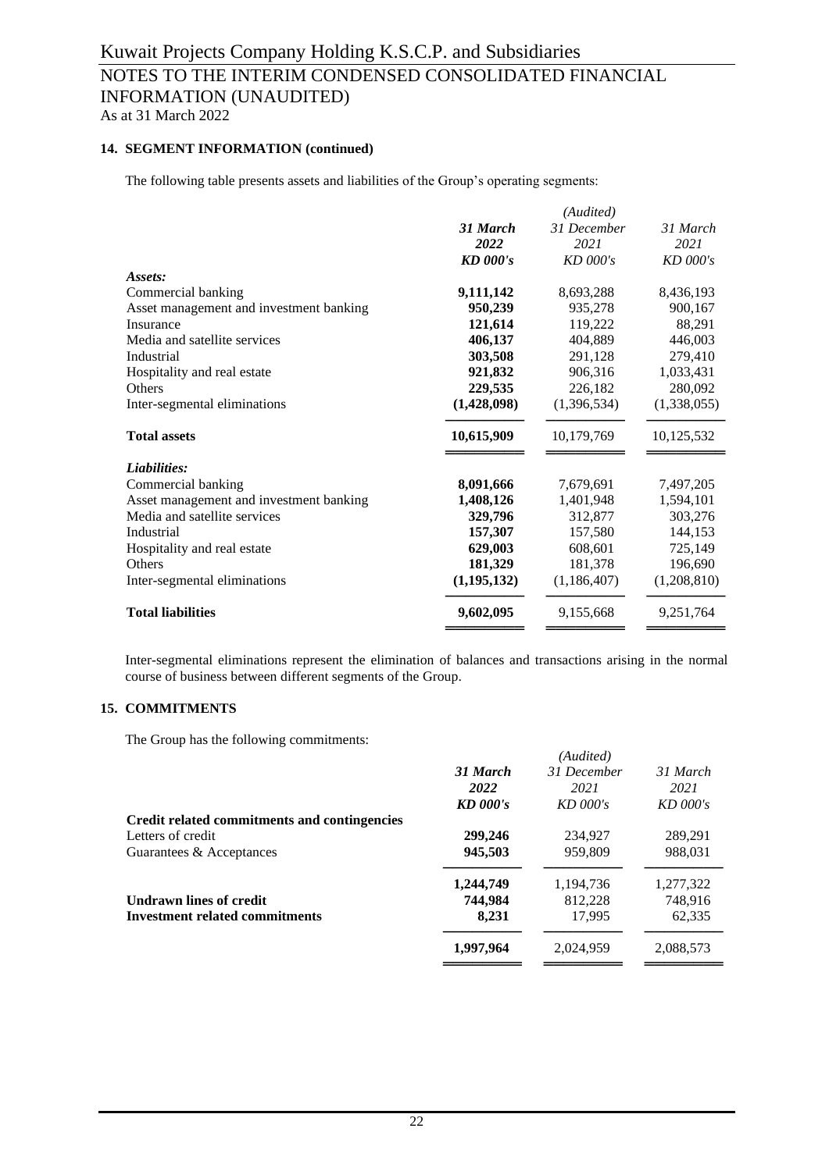# **14. SEGMENT INFORMATION (continued)**

The following table presents assets and liabilities of the Group's operating segments:

|                                         |                 | (Audited)   |             |
|-----------------------------------------|-----------------|-------------|-------------|
|                                         | 31 March        | 31 December | 31 March    |
|                                         | 2022            | 2021        | 2021        |
|                                         | <b>KD</b> 000's | $KD$ 000's  | $KD$ 000's  |
| Assets:                                 |                 |             |             |
| Commercial banking                      | 9,111,142       | 8,693,288   | 8,436,193   |
| Asset management and investment banking | 950,239         | 935,278     | 900,167     |
| Insurance                               | 121,614         | 119,222     | 88,291      |
| Media and satellite services            | 406,137         | 404,889     | 446.003     |
| Industrial                              | 303,508         | 291,128     | 279,410     |
| Hospitality and real estate             | 921,832         | 906,316     | 1,033,431   |
| <b>Others</b>                           | 229,535         | 226,182     | 280,092     |
| Inter-segmental eliminations            | (1,428,098)     | (1,396,534) | (1,338,055) |
| <b>Total assets</b>                     | 10,615,909      | 10,179,769  | 10,125,532  |
| Liabilities:                            |                 |             |             |
| Commercial banking                      | 8,091,666       | 7,679,691   | 7,497,205   |
| Asset management and investment banking | 1,408,126       | 1,401,948   | 1,594,101   |
| Media and satellite services            | 329,796         | 312,877     | 303,276     |
| Industrial                              | 157,307         | 157,580     | 144,153     |
| Hospitality and real estate             | 629,003         | 608,601     | 725,149     |
| <b>Others</b>                           | 181,329         | 181,378     | 196,690     |
| Inter-segmental eliminations            | (1,195,132)     | (1,186,407) | (1,208,810) |
| <b>Total liabilities</b>                | 9,602,095       | 9,155,668   | 9,251,764   |
|                                         |                 |             |             |

Inter-segmental eliminations represent the elimination of balances and transactions arising in the normal course of business between different segments of the Group.

### **15. COMMITMENTS**

The Group has the following commitments:

|                                              |            | (Audited)   |            |
|----------------------------------------------|------------|-------------|------------|
|                                              | 31 March   | 31 December | 31 March   |
|                                              | 2022       | 2021        | 2021       |
|                                              | $KD$ 000's | $KD$ 000's  | $KD$ 000's |
| Credit related commitments and contingencies |            |             |            |
| Letters of credit                            | 299,246    | 234,927     | 289,291    |
| Guarantees & Acceptances                     | 945,503    | 959,809     | 988,031    |
|                                              | 1,244,749  | 1.194.736   | 1,277,322  |
| <b>Undrawn lines of credit</b>               | 744,984    | 812,228     | 748.916    |
| <b>Investment related commitments</b>        | 8,231      | 17.995      | 62.335     |
|                                              | 1,997,964  | 2,024,959   | 2,088,573  |
|                                              |            |             |            |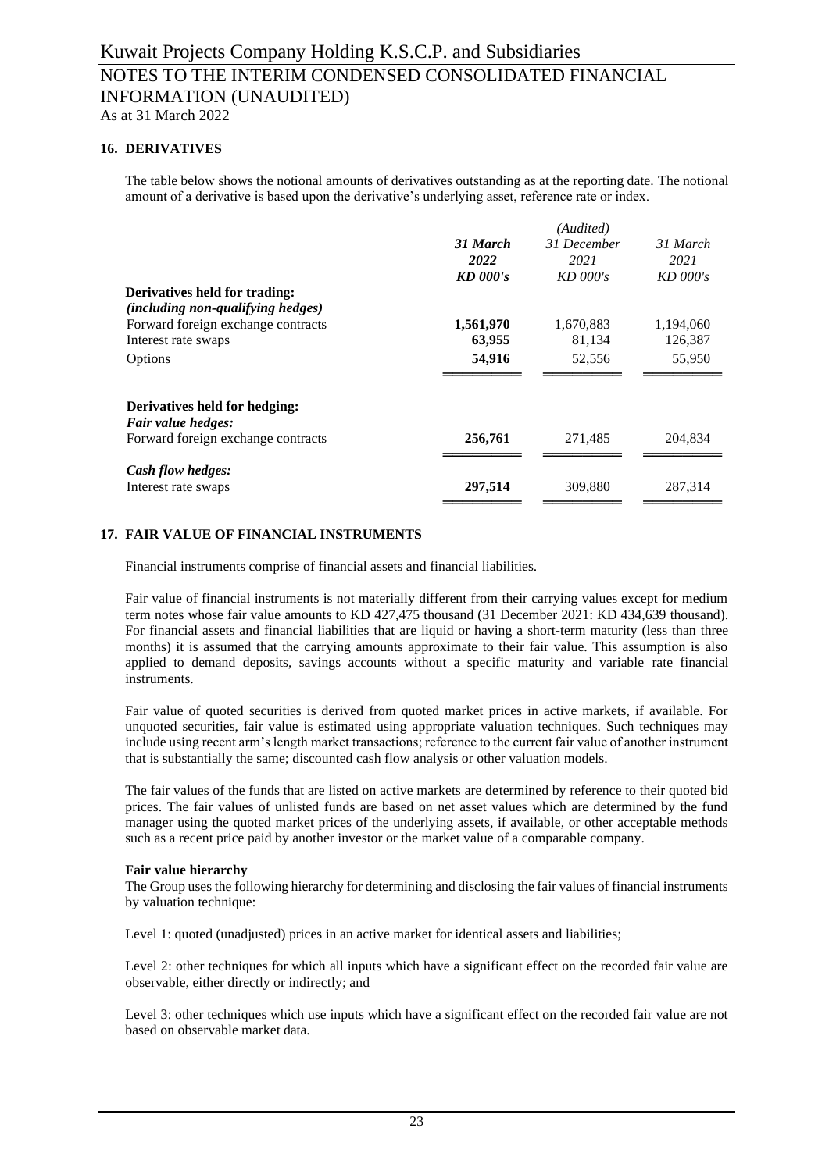# **16. DERIVATIVES**

The table below shows the notional amounts of derivatives outstanding as at the reporting date. The notional amount of a derivative is based upon the derivative's underlying asset, reference rate or index.

|                                          |            | (Audited)   |            |
|------------------------------------------|------------|-------------|------------|
|                                          | 31 March   | 31 December | 31 March   |
|                                          | 2022       | 2021        | 2021       |
|                                          | $KD$ 000's | $KD$ 000's  | $KD$ 000's |
| Derivatives held for trading:            |            |             |            |
| <i>(including non-qualifying hedges)</i> |            |             |            |
| Forward foreign exchange contracts       | 1,561,970  | 1,670,883   | 1,194,060  |
| Interest rate swaps                      | 63,955     | 81,134      | 126,387    |
| Options                                  | 54,916     | 52,556      | 55,950     |
|                                          |            |             |            |
| Derivatives held for hedging:            |            |             |            |
| Fair value hedges:                       |            |             |            |
| Forward foreign exchange contracts       | 256,761    | 271,485     | 204,834    |
| Cash flow hedges:                        |            |             |            |
| Interest rate swaps                      | 297,514    | 309,880     | 287,314    |
|                                          |            |             |            |

# **17. FAIR VALUE OF FINANCIAL INSTRUMENTS**

Financial instruments comprise of financial assets and financial liabilities.

Fair value of financial instruments is not materially different from their carrying values except for medium term notes whose fair value amounts to KD 427,475 thousand (31 December 2021: KD 434,639 thousand). For financial assets and financial liabilities that are liquid or having a short-term maturity (less than three months) it is assumed that the carrying amounts approximate to their fair value. This assumption is also applied to demand deposits, savings accounts without a specific maturity and variable rate financial instruments.

Fair value of quoted securities is derived from quoted market prices in active markets, if available. For unquoted securities, fair value is estimated using appropriate valuation techniques. Such techniques may include using recent arm's length market transactions; reference to the current fair value of another instrument that is substantially the same; discounted cash flow analysis or other valuation models.

The fair values of the funds that are listed on active markets are determined by reference to their quoted bid prices. The fair values of unlisted funds are based on net asset values which are determined by the fund manager using the quoted market prices of the underlying assets, if available, or other acceptable methods such as a recent price paid by another investor or the market value of a comparable company.

#### **Fair value hierarchy**

The Group uses the following hierarchy for determining and disclosing the fair values of financial instruments by valuation technique:

Level 1: quoted (unadjusted) prices in an active market for identical assets and liabilities;

Level 2: other techniques for which all inputs which have a significant effect on the recorded fair value are observable, either directly or indirectly; and

Level 3: other techniques which use inputs which have a significant effect on the recorded fair value are not based on observable market data.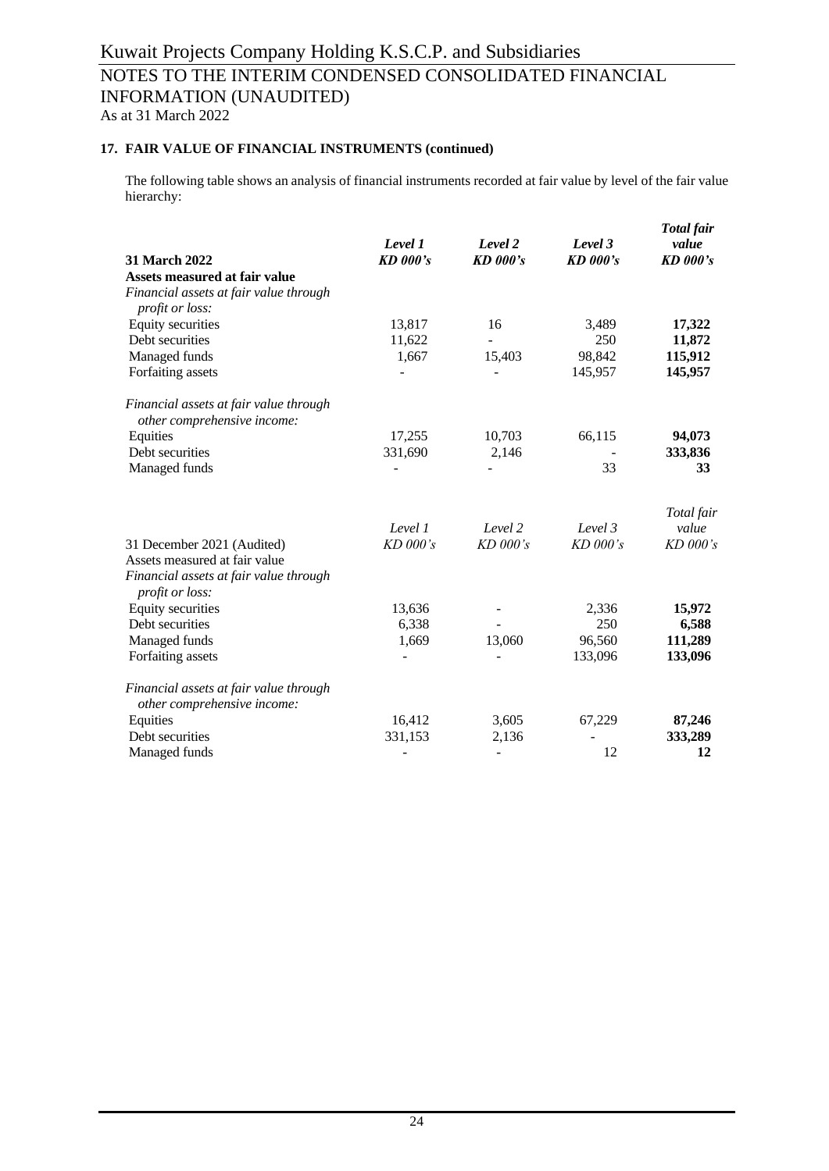# Kuwait Projects Company Holding K.S.C.P. and Subsidiaries NOTES TO THE INTERIM CONDENSED CONSOLIDATED FINANCIAL INFORMATION (UNAUDITED) As at 31 March 2022

# **17. FAIR VALUE OF FINANCIAL INSTRUMENTS (continued)**

The following table shows an analysis of financial instruments recorded at fair value by level of the fair value hierarchy:

| 31 March 2022                                                         | Level 1<br><b>KD</b> 000's | Level 2<br><b>KD</b> 000's | Level 3<br><b>KD</b> 000's | Total fair<br>value<br><b>KD</b> 000's |
|-----------------------------------------------------------------------|----------------------------|----------------------------|----------------------------|----------------------------------------|
| Assets measured at fair value                                         |                            |                            |                            |                                        |
| Financial assets at fair value through<br>profit or loss:             |                            |                            |                            |                                        |
| Equity securities                                                     | 13,817                     | 16                         | 3,489                      | 17,322                                 |
| Debt securities                                                       | 11,622                     |                            | 250                        | 11,872                                 |
| Managed funds                                                         | 1,667                      | 15,403                     | 98,842                     | 115,912                                |
| Forfaiting assets                                                     |                            | $\overline{a}$             | 145,957                    | 145,957                                |
| Financial assets at fair value through<br>other comprehensive income: |                            |                            |                            |                                        |
| Equities                                                              | 17,255                     | 10,703                     | 66,115                     | 94,073                                 |
| Debt securities                                                       | 331,690                    | 2,146                      |                            | 333,836                                |
| Managed funds                                                         |                            |                            | 33                         | 33                                     |
|                                                                       |                            |                            |                            | Total fair                             |
|                                                                       | Level 1                    | Level 2                    | Level 3                    | value                                  |
| 31 December 2021 (Audited)                                            | KD 000's                   | KD 000's                   | $KD$ 000's                 | KD 000's                               |
| Assets measured at fair value                                         |                            |                            |                            |                                        |
| Financial assets at fair value through<br><i>profit or loss:</i>      |                            |                            |                            |                                        |
| Equity securities                                                     | 13,636                     |                            | 2,336                      | 15,972                                 |
| Debt securities                                                       | 6,338                      |                            | 250                        | 6,588                                  |
| Managed funds                                                         | 1,669                      | 13,060                     | 96,560                     | 111,289                                |
| Forfaiting assets                                                     | ÷,                         |                            | 133,096                    | 133,096                                |
| Financial assets at fair value through<br>other comprehensive income: |                            |                            |                            |                                        |
| Equities                                                              | 16,412                     | 3,605                      | 67,229                     | 87,246                                 |
| Debt securities                                                       | 331,153                    | 2,136                      |                            | 333,289                                |
| Managed funds                                                         |                            | $\overline{a}$             | 12                         | 12                                     |